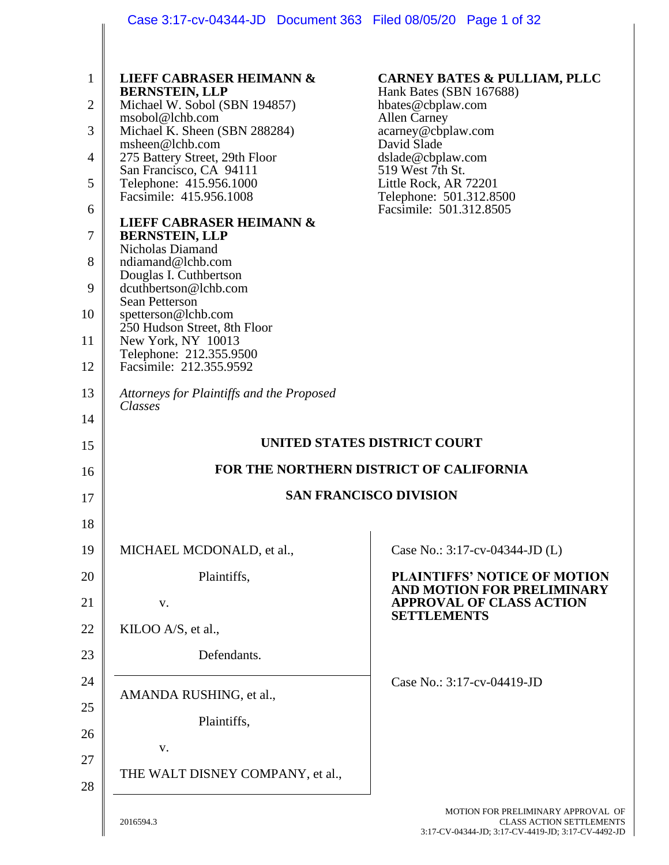|                                                                                           | Case 3:17-cv-04344-JD  Document 363  Filed 08/05/20  Page 1 of 32                                                                                                                                                                                                                                                                                                                                                                                                                                                                                                                                                                                                              |                                                                                                                                                                                                                                                                             |
|-------------------------------------------------------------------------------------------|--------------------------------------------------------------------------------------------------------------------------------------------------------------------------------------------------------------------------------------------------------------------------------------------------------------------------------------------------------------------------------------------------------------------------------------------------------------------------------------------------------------------------------------------------------------------------------------------------------------------------------------------------------------------------------|-----------------------------------------------------------------------------------------------------------------------------------------------------------------------------------------------------------------------------------------------------------------------------|
| $\mathbf{1}$<br>$\overline{2}$<br>3<br>4<br>5<br>6<br>7<br>8<br>9<br>10<br>11<br>12<br>13 | <b>LIEFF CABRASER HEIMANN &amp;</b><br><b>BERNSTEIN, LLP</b><br>Michael W. Sobol (SBN 194857)<br>msobol@lchb.com<br>Michael K. Sheen (SBN 288284)<br>msheen@lchb.com<br>275 Battery Street, 29th Floor<br>San Francisco, CA 94111<br>Telephone: 415.956.1000<br>Facsimile: 415.956.1008<br><b>LIEFF CABRASER HEIMANN &amp;</b><br><b>BERNSTEIN, LLP</b><br><b>Nicholas Diamand</b><br>ndiamand@lchb.com<br>Douglas I. Cuthbertson<br>dcuthbertson@lchb.com<br><b>Sean Petterson</b><br>spetterson@lchb.com<br>250 Hudson Street, 8th Floor<br>New York, NY 10013<br>Telephone: 212.355.9500<br>Facsimile: 212.355.9592<br>Attorneys for Plaintiffs and the Proposed<br>Classes | <b>CARNEY BATES &amp; PULLIAM, PLLC</b><br>Hank Bates (SBN 167688)<br>hbates@cbplaw.com<br><b>Allen Carney</b><br>acarney@cbplaw.com<br>David Slade<br>dslade@cbplaw.com<br>519 West 7th St.<br>Little Rock, AR 72201<br>Telephone: 501.312.8500<br>Facsimile: 501.312.8505 |
| 14                                                                                        |                                                                                                                                                                                                                                                                                                                                                                                                                                                                                                                                                                                                                                                                                |                                                                                                                                                                                                                                                                             |
|                                                                                           |                                                                                                                                                                                                                                                                                                                                                                                                                                                                                                                                                                                                                                                                                |                                                                                                                                                                                                                                                                             |
| 15                                                                                        |                                                                                                                                                                                                                                                                                                                                                                                                                                                                                                                                                                                                                                                                                | UNITED STATES DISTRICT COURT                                                                                                                                                                                                                                                |
| 16                                                                                        |                                                                                                                                                                                                                                                                                                                                                                                                                                                                                                                                                                                                                                                                                | FOR THE NORTHERN DISTRICT OF CALIFORNIA                                                                                                                                                                                                                                     |
| 17                                                                                        |                                                                                                                                                                                                                                                                                                                                                                                                                                                                                                                                                                                                                                                                                | <b>SAN FRANCISCO DIVISION</b>                                                                                                                                                                                                                                               |
| 18<br>19                                                                                  | MICHAEL MCDONALD, et al.,                                                                                                                                                                                                                                                                                                                                                                                                                                                                                                                                                                                                                                                      | Case No.: 3:17-cv-04344-JD (L)                                                                                                                                                                                                                                              |
| 20                                                                                        | Plaintiffs,                                                                                                                                                                                                                                                                                                                                                                                                                                                                                                                                                                                                                                                                    | <b>PLAINTIFFS' NOTICE OF MOTION</b>                                                                                                                                                                                                                                         |
| 21                                                                                        | V.                                                                                                                                                                                                                                                                                                                                                                                                                                                                                                                                                                                                                                                                             | AND MOTION FOR PRELIMINARY<br><b>APPROVAL OF CLASS ACTION</b>                                                                                                                                                                                                               |
| 22                                                                                        | KILOO A/S, et al.,                                                                                                                                                                                                                                                                                                                                                                                                                                                                                                                                                                                                                                                             | <b>SETTLEMENTS</b>                                                                                                                                                                                                                                                          |
| 23                                                                                        | Defendants.                                                                                                                                                                                                                                                                                                                                                                                                                                                                                                                                                                                                                                                                    |                                                                                                                                                                                                                                                                             |
| 24                                                                                        |                                                                                                                                                                                                                                                                                                                                                                                                                                                                                                                                                                                                                                                                                | Case No.: 3:17-cv-04419-JD                                                                                                                                                                                                                                                  |
| 25                                                                                        | AMANDA RUSHING, et al.,<br>Plaintiffs,                                                                                                                                                                                                                                                                                                                                                                                                                                                                                                                                                                                                                                         |                                                                                                                                                                                                                                                                             |
| 26                                                                                        | V.                                                                                                                                                                                                                                                                                                                                                                                                                                                                                                                                                                                                                                                                             |                                                                                                                                                                                                                                                                             |
| 27<br>28                                                                                  | THE WALT DISNEY COMPANY, et al.,                                                                                                                                                                                                                                                                                                                                                                                                                                                                                                                                                                                                                                               |                                                                                                                                                                                                                                                                             |

2016594.3

MOTION FOR PRELIMINARY APPROVAL OF CLASS ACTION SETTLEMENTS 3:17-CV-04344-JD; 3:17-CV-4419-JD; 3:17-CV-4492-JD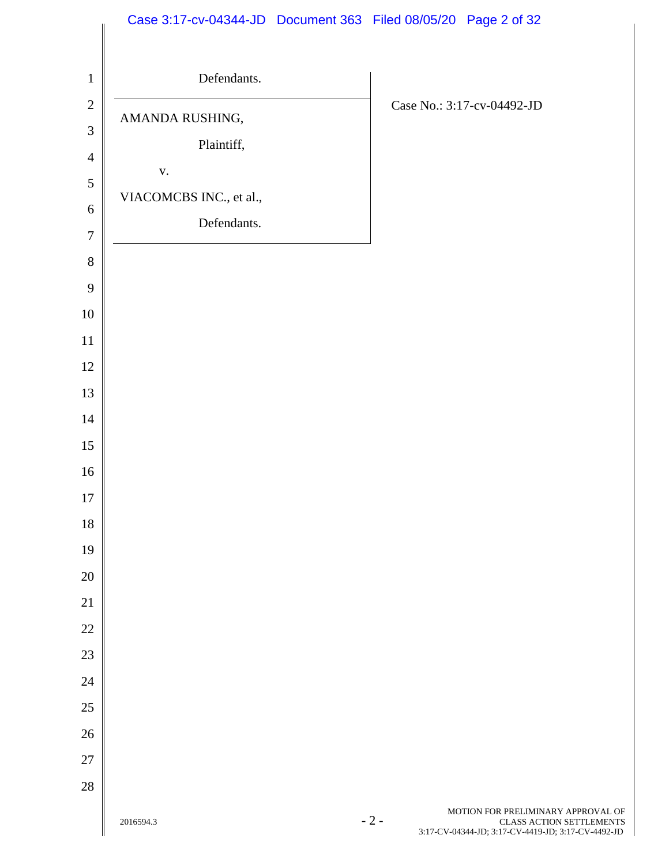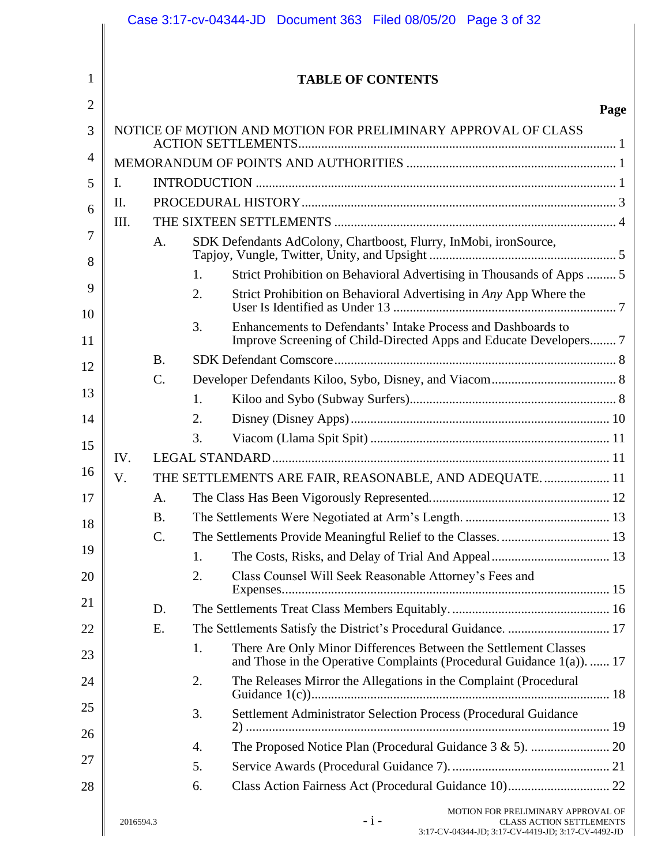|                |           |           | Case 3:17-cv-04344-JD  Document 363  Filed 08/05/20  Page 3 of 32                                                                              |      |
|----------------|-----------|-----------|------------------------------------------------------------------------------------------------------------------------------------------------|------|
|                |           |           |                                                                                                                                                |      |
| 1              |           |           | <b>TABLE OF CONTENTS</b>                                                                                                                       |      |
| $\overline{2}$ |           |           |                                                                                                                                                | Page |
| 3              |           |           | NOTICE OF MOTION AND MOTION FOR PRELIMINARY APPROVAL OF CLASS                                                                                  |      |
| 4              |           |           |                                                                                                                                                |      |
| 5              | Ι.        |           |                                                                                                                                                |      |
| 6              | II.       |           |                                                                                                                                                |      |
|                | Ш.        |           |                                                                                                                                                |      |
| 7<br>8         |           | A.        | SDK Defendants AdColony, Chartboost, Flurry, InMobi, ironSource,                                                                               |      |
|                |           |           | Strict Prohibition on Behavioral Advertising in Thousands of Apps  5<br>1.                                                                     |      |
| 9<br>10        |           |           | 2.<br>Strict Prohibition on Behavioral Advertising in Any App Where the                                                                        |      |
| 11             |           |           | 3.<br>Enhancements to Defendants' Intake Process and Dashboards to<br>Improve Screening of Child-Directed Apps and Educate Developers 7        |      |
| 12             |           | <b>B.</b> |                                                                                                                                                |      |
|                |           | C.        |                                                                                                                                                |      |
| 13             |           |           | 1.                                                                                                                                             |      |
| 14             |           |           | 2.                                                                                                                                             |      |
| 15             |           |           | 3.                                                                                                                                             |      |
|                | IV.       |           |                                                                                                                                                |      |
| 16             | V.        |           | THE SETTLEMENTS ARE FAIR, REASONABLE, AND ADEQUATE 11                                                                                          |      |
| 17             |           | Α.        |                                                                                                                                                |      |
| 18             |           | <b>B.</b> |                                                                                                                                                |      |
|                |           | C.        |                                                                                                                                                |      |
| 19             |           |           | 1.                                                                                                                                             |      |
| 20             |           |           | 2.<br>Class Counsel Will Seek Reasonable Attorney's Fees and                                                                                   |      |
| 21             |           | D.        |                                                                                                                                                |      |
| 22             |           | E.        | The Settlements Satisfy the District's Procedural Guidance.  17                                                                                |      |
| 23             |           |           | There Are Only Minor Differences Between the Settlement Classes<br>1.<br>and Those in the Operative Complaints (Procedural Guidance 1(a)).  17 |      |
| 24             |           |           | The Releases Mirror the Allegations in the Complaint (Procedural<br>2.                                                                         |      |
| 25             |           |           | 3.<br>Settlement Administrator Selection Process (Procedural Guidance                                                                          |      |
| 26             |           |           | 4.                                                                                                                                             |      |
| 27             |           |           | 5.                                                                                                                                             |      |
| 28             |           |           | 6.                                                                                                                                             |      |
|                | 2016594.3 |           | MOTION FOR PRELIMINARY APPROVAL OF<br>$-i-$<br><b>CLASS ACTION SETTLEMENTS</b><br>3:17-CV-04344-JD; 3:17-CV-4419-JD; 3:17-CV-4492-JD           |      |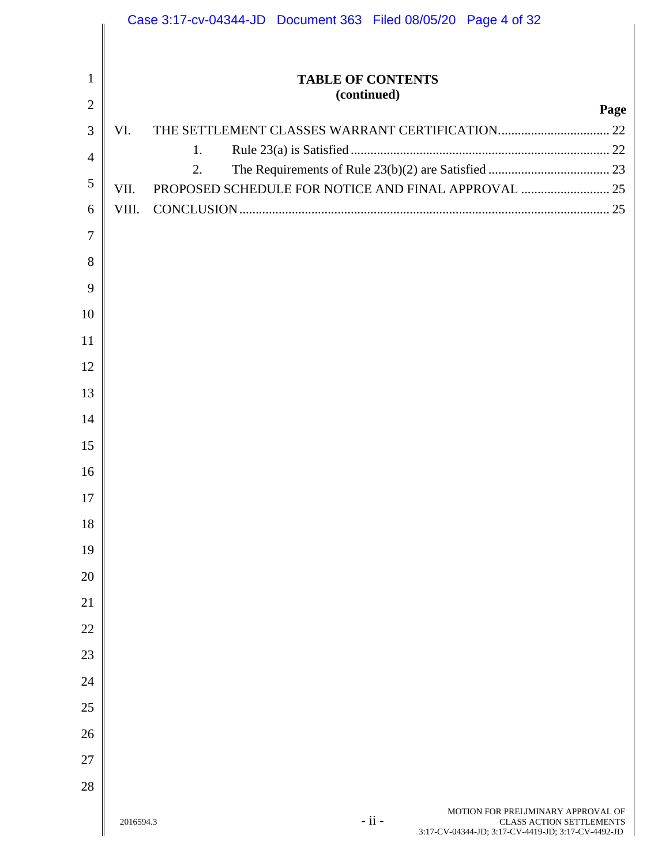|                |           | Case 3:17-cv-04344-JD  Document 363  Filed 08/05/20  Page 4 of 32                                                                      |
|----------------|-----------|----------------------------------------------------------------------------------------------------------------------------------------|
|                |           |                                                                                                                                        |
| $\mathbf{1}$   |           | <b>TABLE OF CONTENTS</b>                                                                                                               |
| $\overline{2}$ |           | (continued)<br>Page                                                                                                                    |
| 3              | VI.       |                                                                                                                                        |
| $\overline{4}$ |           | 1.                                                                                                                                     |
| $\mathfrak{S}$ | VII.      | 2.                                                                                                                                     |
| 6              | VIII.     |                                                                                                                                        |
| $\tau$         |           |                                                                                                                                        |
| 8              |           |                                                                                                                                        |
| 9              |           |                                                                                                                                        |
| 10             |           |                                                                                                                                        |
| 11             |           |                                                                                                                                        |
| 12             |           |                                                                                                                                        |
| 13             |           |                                                                                                                                        |
| 14             |           |                                                                                                                                        |
| 15             |           |                                                                                                                                        |
| 16             |           |                                                                                                                                        |
| 17             |           |                                                                                                                                        |
| 18             |           |                                                                                                                                        |
| 19             |           |                                                                                                                                        |
| 20             |           |                                                                                                                                        |
| 21             |           |                                                                                                                                        |
| 22             |           |                                                                                                                                        |
| 23             |           |                                                                                                                                        |
| 24             |           |                                                                                                                                        |
| 25             |           |                                                                                                                                        |
| 26             |           |                                                                                                                                        |
| 27             |           |                                                                                                                                        |
| 28             |           |                                                                                                                                        |
|                | 2016594.3 | MOTION FOR PRELIMINARY APPROVAL OF<br>$-ii -$<br><b>CLASS ACTION SETTLEMENTS</b><br>3:17-CV-04344-JD; 3:17-CV-4419-JD; 3:17-CV-4492-JD |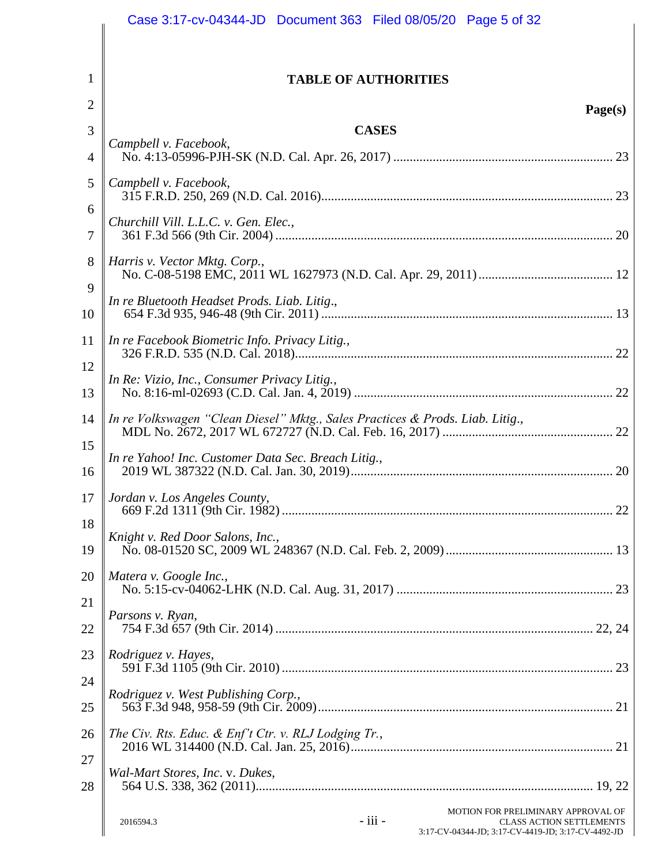|                | Case 3:17-cv-04344-JD  Document 363  Filed 08/05/20  Page 5 of 32                                                                                   |
|----------------|-----------------------------------------------------------------------------------------------------------------------------------------------------|
|                |                                                                                                                                                     |
| 1              | <b>TABLE OF AUTHORITIES</b>                                                                                                                         |
| $\overline{2}$ | Page(s)                                                                                                                                             |
| 3              | <b>CASES</b>                                                                                                                                        |
| 4              | Campbell v. Facebook,                                                                                                                               |
| 5              | Campbell v. Facebook,                                                                                                                               |
| 6<br>7         | Churchill Vill. L.L.C. v. Gen. Elec.,                                                                                                               |
| 8              | Harris v. Vector Mktg. Corp.,                                                                                                                       |
| 9              | In re Bluetooth Headset Prods. Liab. Litig.,                                                                                                        |
| 10             |                                                                                                                                                     |
| 11             | In re Facebook Biometric Info. Privacy Litig.,                                                                                                      |
| 12<br>13       | In Re: Vizio, Inc., Consumer Privacy Litig.,                                                                                                        |
| 14             | In re Volkswagen "Clean Diesel" Mktg., Sales Practices & Prods. Liab. Litig.,                                                                       |
| 15<br>16       | In re Yahoo! Inc. Customer Data Sec. Breach Litig.,                                                                                                 |
| 17             | Jordan v. Los Angeles County,<br>22                                                                                                                 |
| 18<br>19       | Knight v. Red Door Salons, Inc.,                                                                                                                    |
| 20             | Matera v. Google Inc.,                                                                                                                              |
| 21             |                                                                                                                                                     |
| 22             | Parsons v. Ryan,                                                                                                                                    |
| 23             | Rodriguez v. Hayes,                                                                                                                                 |
| 24             | Rodriguez v. West Publishing Corp.,                                                                                                                 |
| 25             |                                                                                                                                                     |
| 26             | The Civ. Rts. Educ. & Enf't Ctr. v. RLJ Lodging Tr.,                                                                                                |
| 27<br>28       | Wal-Mart Stores, Inc. v. Dukes,                                                                                                                     |
|                | MOTION FOR PRELIMINARY APPROVAL OF<br>- iii -<br>2016594.3<br><b>CLASS ACTION SETTLEMENTS</b><br>3:17-CV-04344-JD; 3:17-CV-4419-JD; 3:17-CV-4492-JD |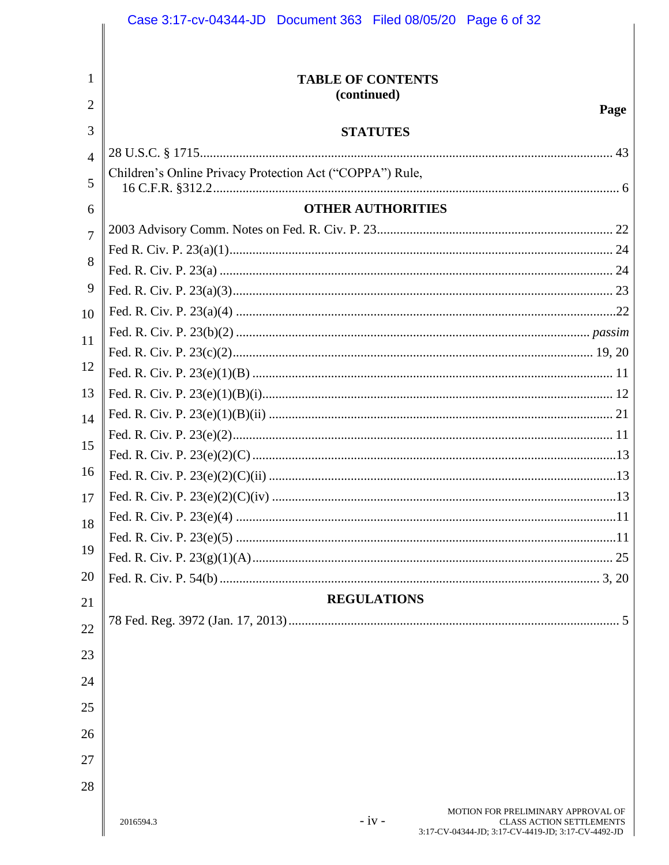|                | Case 3:17-cv-04344-JD  Document 363  Filed 08/05/20  Page 6 of 32                                             |
|----------------|---------------------------------------------------------------------------------------------------------------|
|                |                                                                                                               |
|                |                                                                                                               |
| 1              | <b>TABLE OF CONTENTS</b><br>(continued)                                                                       |
| 2              | Page                                                                                                          |
| 3              | <b>STATUTES</b>                                                                                               |
| $\overline{4}$ |                                                                                                               |
| 5              | Children's Online Privacy Protection Act ("COPPA") Rule,                                                      |
|                | <b>OTHER AUTHORITIES</b>                                                                                      |
| 6              |                                                                                                               |
| $\overline{7}$ |                                                                                                               |
| 8              |                                                                                                               |
| 9              |                                                                                                               |
| 10             |                                                                                                               |
|                |                                                                                                               |
| 11             |                                                                                                               |
| 12             |                                                                                                               |
| 13             |                                                                                                               |
| 14             |                                                                                                               |
| 15             |                                                                                                               |
|                |                                                                                                               |
| 16             |                                                                                                               |
|                |                                                                                                               |
| 18             |                                                                                                               |
| 19             |                                                                                                               |
| 20             |                                                                                                               |
|                | <b>REGULATIONS</b>                                                                                            |
| 21             |                                                                                                               |
| 22             |                                                                                                               |
| 23             |                                                                                                               |
| 24             |                                                                                                               |
| 25             |                                                                                                               |
|                |                                                                                                               |
| 26             |                                                                                                               |
| 27             |                                                                                                               |
| 28             |                                                                                                               |
|                | MOTION FOR PRELIMINARY APPROVAL OF                                                                            |
|                | $-iv -$<br>2016594.3<br><b>CLASS ACTION SETTLEMENTS</b><br>3:17-CV-04344-JD; 3:17-CV-4419-JD; 3:17-CV-4492-JD |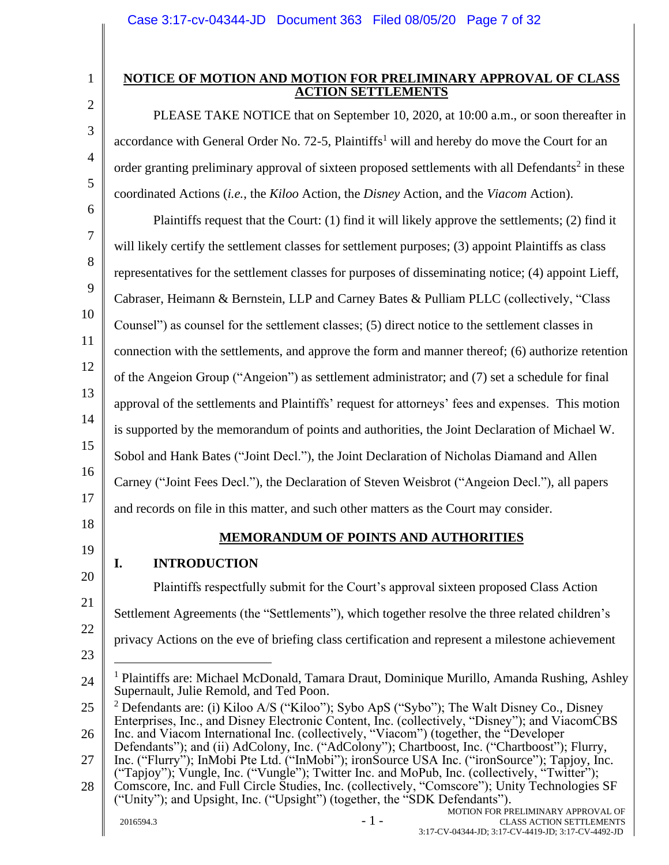1 2

3

4

5

# <span id="page-6-0"></span>**NOTICE OF MOTION AND MOTION FOR PRELIMINARY APPROVAL OF CLASS ACTION SETTLEMENTS**

PLEASE TAKE NOTICE that on September 10, 2020, at 10:00 a.m., or soon thereafter in accordance with General Order No. 72-5, Plaintiffs<sup>1</sup> will and hereby do move the Court for an order granting preliminary approval of sixteen proposed settlements with all Defendants<sup>2</sup> in these coordinated Actions (*i.e.*, the *Kiloo* Action, the *Disney* Action, and the *Viacom* Action).

6 7 8 9 10 11 12 13 14 15 16 17 Plaintiffs request that the Court: (1) find it will likely approve the settlements; (2) find it will likely certify the settlement classes for settlement purposes; (3) appoint Plaintiffs as class representatives for the settlement classes for purposes of disseminating notice; (4) appoint Lieff, Cabraser, Heimann & Bernstein, LLP and Carney Bates & Pulliam PLLC (collectively, "Class Counsel") as counsel for the settlement classes; (5) direct notice to the settlement classes in connection with the settlements, and approve the form and manner thereof; (6) authorize retention of the Angeion Group ("Angeion") as settlement administrator; and (7) set a schedule for final approval of the settlements and Plaintiffs' request for attorneys' fees and expenses. This motion is supported by the memorandum of points and authorities, the Joint Declaration of Michael W. Sobol and Hank Bates ("Joint Decl."), the Joint Declaration of Nicholas Diamand and Allen Carney ("Joint Fees Decl."), the Declaration of Steven Weisbrot ("Angeion Decl."), all papers and records on file in this matter, and such other matters as the Court may consider.

<span id="page-6-1"></span>18 19

# **MEMORANDUM OF POINTS AND AUTHORITIES**

# <span id="page-6-2"></span>**I. INTRODUCTION**

20 21 22 23 24 25 26 27 28  $2016594.3$  - 1 -MOTION FOR PRELIMINARY APPROVAL OF CLASS ACTION SETTLEMENTS 3:17-CV-04344-JD; 3:17-CV-4419-JD; 3:17-CV-4492-JD Plaintiffs respectfully submit for the Court's approval sixteen proposed Class Action Settlement Agreements (the "Settlements"), which together resolve the three related children's privacy Actions on the eve of briefing class certification and represent a milestone achievement <sup>1</sup> Plaintiffs are: Michael McDonald, Tamara Draut, Dominique Murillo, Amanda Rushing, Ashley Supernault, Julie Remold, and Ted Poon. <sup>2</sup> Defendants are: (i) Kiloo A/S ("Kiloo"); Sybo ApS ("Sybo"); The Walt Disney Co., Disney Enterprises, Inc., and Disney Electronic Content, Inc. (collectively, "Disney"); and ViacomCBS Inc. and Viacom International Inc. (collectively, "Viacom") (together, the "Developer Defendants"); and (ii) AdColony, Inc. ("AdColony"); Chartboost, Inc. ("Chartboost"); Flurry, Inc. ("Flurry"); InMobi Pte Ltd. ("InMobi"); ironSource USA Inc. ("ironSource"); Tapjoy, Inc. ("Tapjoy"); Vungle, Inc. ("Vungle"); Twitter Inc. and MoPub, Inc. (collectively, "Twitter"); Comscore, Inc. and Full Circle Studies, Inc. (collectively, "Comscore"); Unity Technologies SF ("Unity"); and Upsight, Inc. ("Upsight") (together, the "SDK Defendants").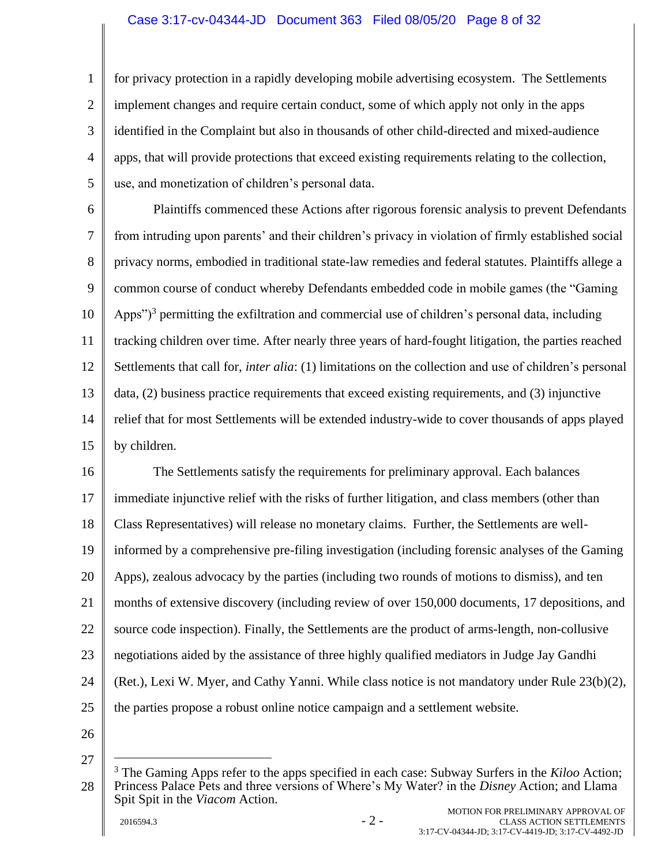#### Case 3:17-cv-04344-JD Document 363 Filed 08/05/20 Page 8 of 32

1 2 3 4 5 for privacy protection in a rapidly developing mobile advertising ecosystem. The Settlements implement changes and require certain conduct, some of which apply not only in the apps identified in the Complaint but also in thousands of other child-directed and mixed-audience apps, that will provide protections that exceed existing requirements relating to the collection, use, and monetization of children's personal data.

6 7 8 9 10 11 12 13 14 15 Plaintiffs commenced these Actions after rigorous forensic analysis to prevent Defendants from intruding upon parents' and their children's privacy in violation of firmly established social privacy norms, embodied in traditional state-law remedies and federal statutes. Plaintiffs allege a common course of conduct whereby Defendants embedded code in mobile games (the "Gaming Apps")<sup>3</sup> permitting the exfiltration and commercial use of children's personal data, including tracking children over time. After nearly three years of hard-fought litigation, the parties reached Settlements that call for, *inter alia*: (1) limitations on the collection and use of children's personal data, (2) business practice requirements that exceed existing requirements, and (3) injunctive relief that for most Settlements will be extended industry-wide to cover thousands of apps played by children.

16 17 18 19 20 21 22 23 24 25 The Settlements satisfy the requirements for preliminary approval. Each balances immediate injunctive relief with the risks of further litigation, and class members (other than Class Representatives) will release no monetary claims. Further, the Settlements are wellinformed by a comprehensive pre-filing investigation (including forensic analyses of the Gaming Apps), zealous advocacy by the parties (including two rounds of motions to dismiss), and ten months of extensive discovery (including review of over 150,000 documents, 17 depositions, and source code inspection). Finally, the Settlements are the product of arms-length, non-collusive negotiations aided by the assistance of three highly qualified mediators in Judge Jay Gandhi (Ret.), Lexi W. Myer, and Cathy Yanni. While class notice is not mandatory under Rule 23(b)(2), the parties propose a robust online notice campaign and a settlement website.

26

<sup>28</sup> <sup>3</sup> The Gaming Apps refer to the apps specified in each case: Subway Surfers in the *Kiloo* Action; Princess Palace Pets and three versions of Where's My Water? in the *Disney* Action; and Llama Spit Spit in the *Viacom* Action.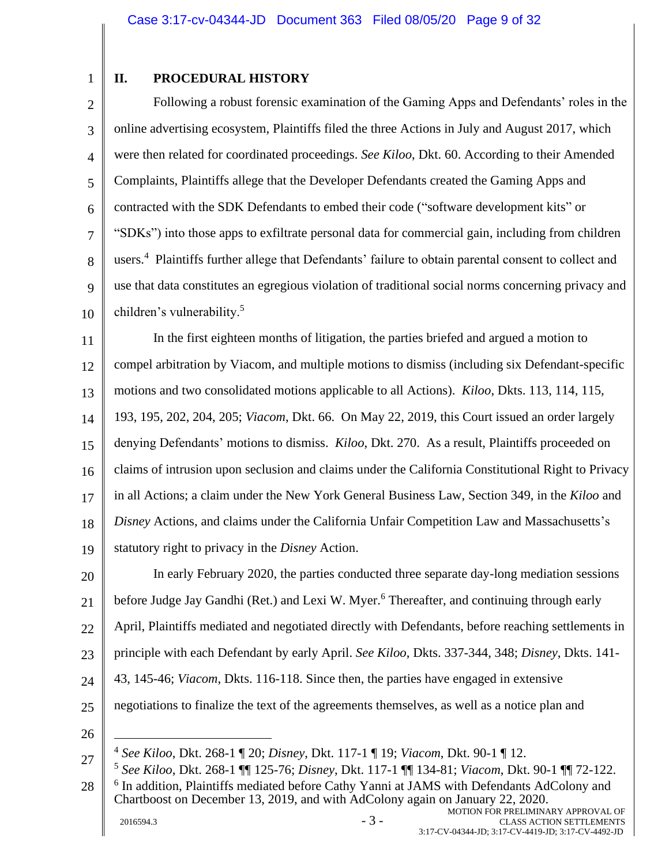1

# <span id="page-8-0"></span>**II. PROCEDURAL HISTORY**

2 3 4 5 6 7 8 9 10 Following a robust forensic examination of the Gaming Apps and Defendants' roles in the online advertising ecosystem, Plaintiffs filed the three Actions in July and August 2017, which were then related for coordinated proceedings. *See Kiloo*, Dkt. 60. According to their Amended Complaints, Plaintiffs allege that the Developer Defendants created the Gaming Apps and contracted with the SDK Defendants to embed their code ("software development kits" or "SDKs") into those apps to exfiltrate personal data for commercial gain, including from children users.<sup>4</sup> Plaintiffs further allege that Defendants' failure to obtain parental consent to collect and use that data constitutes an egregious violation of traditional social norms concerning privacy and children's vulnerability.<sup>5</sup>

11 12 13 14 15 16 17 18 19 In the first eighteen months of litigation, the parties briefed and argued a motion to compel arbitration by Viacom, and multiple motions to dismiss (including six Defendant-specific motions and two consolidated motions applicable to all Actions). *Kiloo*, Dkts. 113, 114, 115, 193, 195, 202, 204, 205; *Viacom*, Dkt. 66. On May 22, 2019, this Court issued an order largely denying Defendants' motions to dismiss. *Kiloo*, Dkt. 270. As a result, Plaintiffs proceeded on claims of intrusion upon seclusion and claims under the California Constitutional Right to Privacy in all Actions; a claim under the New York General Business Law, Section 349, in the *Kiloo* and *Disney* Actions, and claims under the California Unfair Competition Law and Massachusetts's statutory right to privacy in the *Disney* Action.

20 21 22 23 24 25 In early February 2020, the parties conducted three separate day-long mediation sessions before Judge Jay Gandhi (Ret.) and Lexi W. Myer.<sup>6</sup> Thereafter, and continuing through early April, Plaintiffs mediated and negotiated directly with Defendants, before reaching settlements in principle with each Defendant by early April. *See Kiloo*, Dkts. 337-344, 348; *Disney*, Dkts. 141- 43, 145-46; *Viacom*, Dkts. 116-118. Since then, the parties have engaged in extensive negotiations to finalize the text of the agreements themselves, as well as a notice plan and

<sup>4</sup> *See Kiloo*, Dkt. 268-1 ¶ 20; *Disney*, Dkt. 117-1 ¶ 19; *Viacom*, Dkt. 90-1 ¶ 12.

<sup>27</sup> 28 5 *See Kiloo*, Dkt. 268-1 ¶¶ 125-76; *Disney*, Dkt. 117-1 ¶¶ 134-81; *Viacom*, Dkt. 90-1 ¶¶ 72-122. <sup>6</sup> In addition, Plaintiffs mediated before Cathy Yanni at JAMS with Defendants AdColony and Chartboost on December 13, 2019, and with AdColony again on January 22, 2020.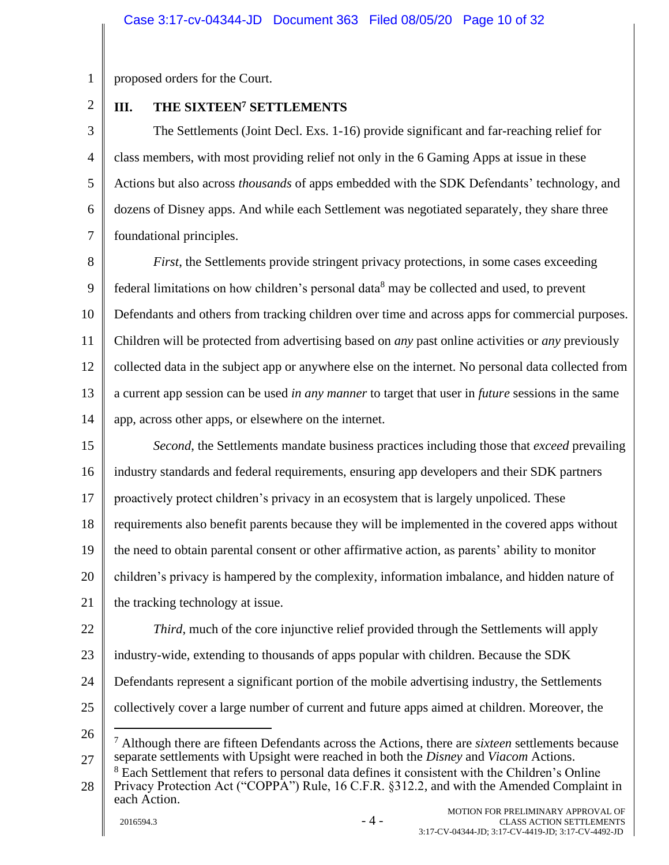1 proposed orders for the Court.

2

# <span id="page-9-0"></span>**III. THE SIXTEEN<sup>7</sup> SETTLEMENTS**

3 4 5 6 7 The Settlements (Joint Decl. Exs. 1-16) provide significant and far-reaching relief for class members, with most providing relief not only in the 6 Gaming Apps at issue in these Actions but also across *thousands* of apps embedded with the SDK Defendants' technology, and dozens of Disney apps. And while each Settlement was negotiated separately, they share three foundational principles.

8 9 10 11 12 13 14 *First*, the Settlements provide stringent privacy protections, in some cases exceeding federal limitations on how children's personal data<sup>8</sup> may be collected and used, to prevent Defendants and others from tracking children over time and across apps for commercial purposes. Children will be protected from advertising based on *any* past online activities or *any* previously collected data in the subject app or anywhere else on the internet. No personal data collected from a current app session can be used *in any manner* to target that user in *future* sessions in the same app, across other apps, or elsewhere on the internet.

15 16 17 18 19 20 21 *Second*, the Settlements mandate business practices including those that *exceed* prevailing industry standards and federal requirements, ensuring app developers and their SDK partners proactively protect children's privacy in an ecosystem that is largely unpoliced. These requirements also benefit parents because they will be implemented in the covered apps without the need to obtain parental consent or other affirmative action, as parents' ability to monitor children's privacy is hampered by the complexity, information imbalance, and hidden nature of the tracking technology at issue.

22

*Third*, much of the core injunctive relief provided through the Settlements will apply

- 23 industry-wide, extending to thousands of apps popular with children. Because the SDK
- 24 Defendants represent a significant portion of the mobile advertising industry, the Settlements
- 25 collectively cover a large number of current and future apps aimed at children. Moreover, the
- 26

28 <sup>8</sup> Each Settlement that refers to personal data defines it consistent with the Children's Online Privacy Protection Act ("COPPA") Rule, 16 C.F.R. §312.2, and with the Amended Complaint in each Action.

<sup>27</sup> <sup>7</sup> Although there are fifteen Defendants across the Actions, there are *sixteen* settlements because separate settlements with Upsight were reached in both the *Disney* and *Viacom* Actions.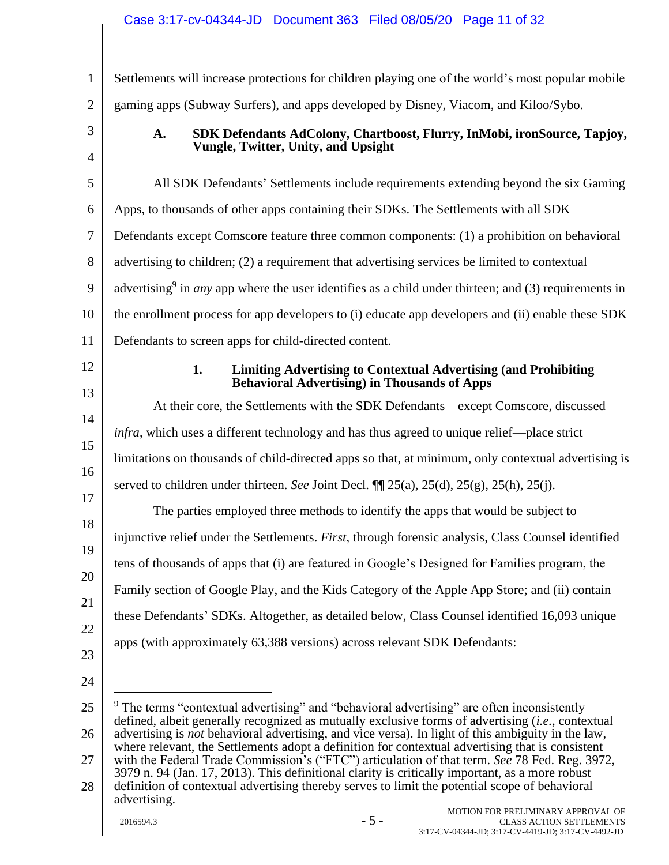<span id="page-10-1"></span><span id="page-10-0"></span>1 2 3 4 5 6 7 8 9 10 11 12 13 14 15 16 17 18 19 20 21 22 23 24 25 26 27 28 Settlements will increase protections for children playing one of the world's most popular mobile gaming apps (Subway Surfers), and apps developed by Disney, Viacom, and Kiloo/Sybo. **A. SDK Defendants AdColony, Chartboost, Flurry, InMobi, ironSource, Tapjoy, Vungle, Twitter, Unity, and Upsight**  All SDK Defendants' Settlements include requirements extending beyond the six Gaming Apps, to thousands of other apps containing their SDKs. The Settlements with all SDK Defendants except Comscore feature three common components: (1) a prohibition on behavioral advertising to children; (2) a requirement that advertising services be limited to contextual advertising<sup>9</sup> in *any* app where the user identifies as a child under thirteen; and (3) requirements in the enrollment process for app developers to (i) educate app developers and (ii) enable these SDK Defendants to screen apps for child-directed content. **1. Limiting Advertising to Contextual Advertising (and Prohibiting Behavioral Advertising) in Thousands of Apps** At their core, the Settlements with the SDK Defendants—except Comscore, discussed *infra*, which uses a different technology and has thus agreed to unique relief—place strict limitations on thousands of child-directed apps so that, at minimum, only contextual advertising is served to children under thirteen. *See* Joint Decl. ¶¶ 25(a), 25(d), 25(g), 25(h), 25(j). The parties employed three methods to identify the apps that would be subject to injunctive relief under the Settlements. *First*, through forensic analysis, Class Counsel identified tens of thousands of apps that (i) are featured in Google's Designed for Families program, the Family section of Google Play, and the Kids Category of the Apple App Store; and (ii) contain these Defendants' SDKs. Altogether, as detailed below, Class Counsel identified 16,093 unique apps (with approximately 63,388 versions) across relevant SDK Defendants:  $9$  The terms "contextual advertising" and "behavioral advertising" are often inconsistently defined, albeit generally recognized as mutually exclusive forms of advertising (*i.e.*, contextual advertising is *not* behavioral advertising, and vice versa). In light of this ambiguity in the law, where relevant, the Settlements adopt a definition for contextual advertising that is consistent with the Federal Trade Commission's ("FTC") articulation of that term. *See* 78 Fed. Reg. 3972, 3979 n. 94 (Jan. 17, 2013). This definitional clarity is critically important, as a more robust definition of contextual advertising thereby serves to limit the potential scope of behavioral advertising.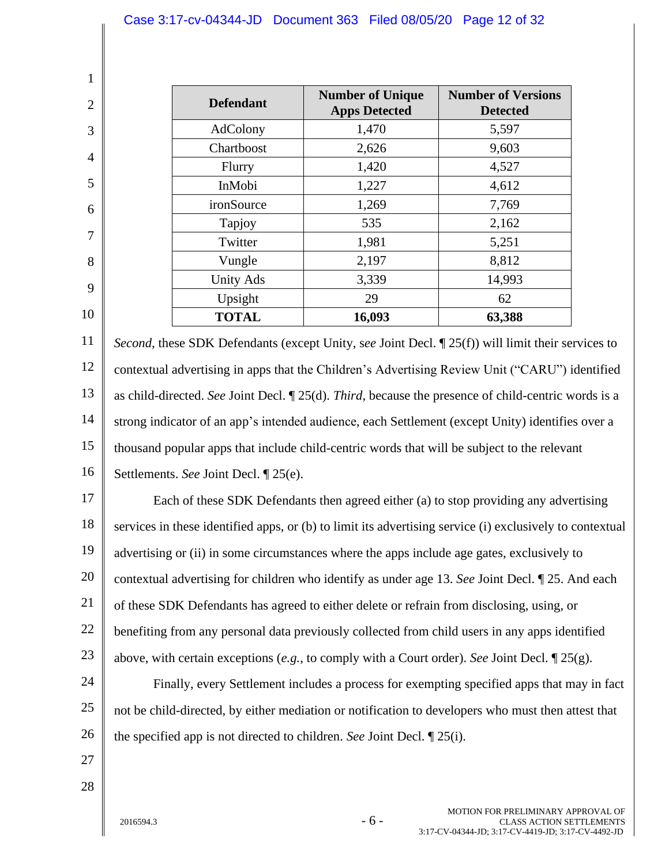|                                  |           |                                                                                                  | Case 3:17-cv-04344-JD Document 363 Filed 08/05/20 Page 12 of 32                                                                                                                                                                                                                                                                                                                                                                                                                                                        |                                                                |  |
|----------------------------------|-----------|--------------------------------------------------------------------------------------------------|------------------------------------------------------------------------------------------------------------------------------------------------------------------------------------------------------------------------------------------------------------------------------------------------------------------------------------------------------------------------------------------------------------------------------------------------------------------------------------------------------------------------|----------------------------------------------------------------|--|
|                                  |           |                                                                                                  |                                                                                                                                                                                                                                                                                                                                                                                                                                                                                                                        |                                                                |  |
| $\mathbf{1}$                     |           |                                                                                                  |                                                                                                                                                                                                                                                                                                                                                                                                                                                                                                                        |                                                                |  |
| $\overline{2}$                   |           | <b>Defendant</b>                                                                                 | <b>Number of Unique</b><br><b>Apps Detected</b>                                                                                                                                                                                                                                                                                                                                                                                                                                                                        | <b>Number of Versions</b><br><b>Detected</b>                   |  |
| 3                                |           | AdColony                                                                                         | 1,470                                                                                                                                                                                                                                                                                                                                                                                                                                                                                                                  | 5,597                                                          |  |
| 4                                |           | Chartboost                                                                                       | 2,626                                                                                                                                                                                                                                                                                                                                                                                                                                                                                                                  | 9,603                                                          |  |
|                                  |           | Flurry                                                                                           | 1,420                                                                                                                                                                                                                                                                                                                                                                                                                                                                                                                  | 4,527                                                          |  |
| 5                                |           | InMobi                                                                                           | 1,227                                                                                                                                                                                                                                                                                                                                                                                                                                                                                                                  | 4,612                                                          |  |
| 6                                |           | ironSource                                                                                       | 1,269                                                                                                                                                                                                                                                                                                                                                                                                                                                                                                                  | 7,769                                                          |  |
| 7                                |           | Tapjoy                                                                                           | 535                                                                                                                                                                                                                                                                                                                                                                                                                                                                                                                    | 2,162                                                          |  |
|                                  |           | Twitter                                                                                          | 1,981                                                                                                                                                                                                                                                                                                                                                                                                                                                                                                                  | 5,251                                                          |  |
| 8                                |           | Vungle                                                                                           | 2,197                                                                                                                                                                                                                                                                                                                                                                                                                                                                                                                  | 8,812                                                          |  |
| 9                                |           | <b>Unity Ads</b>                                                                                 | 3,339                                                                                                                                                                                                                                                                                                                                                                                                                                                                                                                  | 14,993                                                         |  |
| 10                               |           | Upsight                                                                                          | 29                                                                                                                                                                                                                                                                                                                                                                                                                                                                                                                     | 62                                                             |  |
|                                  |           | <b>TOTAL</b>                                                                                     | 16,093                                                                                                                                                                                                                                                                                                                                                                                                                                                                                                                 | 63,388                                                         |  |
| 13<br>14<br>15<br>16<br>17<br>18 |           | Settlements. See Joint Decl. ¶ 25(e).                                                            | as child-directed. See Joint Decl. $\mathbb{I}$ 25(d). Third, because the presence of child-centric words is a<br>strong indicator of an app's intended audience, each Settlement (except Unity) identifies over a<br>thousand popular apps that include child-centric words that will be subject to the relevant<br>Each of these SDK Defendants then agreed either (a) to stop providing any advertising<br>services in these identified apps, or (b) to limit its advertising service (i) exclusively to contextual |                                                                |  |
| 19                               |           |                                                                                                  | advertising or (ii) in some circumstances where the apps include age gates, exclusively to                                                                                                                                                                                                                                                                                                                                                                                                                             |                                                                |  |
| 20                               |           |                                                                                                  | contextual advertising for children who identify as under age 13. See Joint Decl. 125. And each                                                                                                                                                                                                                                                                                                                                                                                                                        |                                                                |  |
| 21                               |           |                                                                                                  | of these SDK Defendants has agreed to either delete or refrain from disclosing, using, or                                                                                                                                                                                                                                                                                                                                                                                                                              |                                                                |  |
| 22                               |           |                                                                                                  | benefiting from any personal data previously collected from child users in any apps identified                                                                                                                                                                                                                                                                                                                                                                                                                         |                                                                |  |
| 23                               |           | above, with certain exceptions (e.g., to comply with a Court order). See Joint Decl. $\P$ 25(g). |                                                                                                                                                                                                                                                                                                                                                                                                                                                                                                                        |                                                                |  |
| 24                               |           | Finally, every Settlement includes a process for exempting specified apps that may in fact       |                                                                                                                                                                                                                                                                                                                                                                                                                                                                                                                        |                                                                |  |
| 25                               |           |                                                                                                  | not be child-directed, by either mediation or notification to developers who must then attest that                                                                                                                                                                                                                                                                                                                                                                                                                     |                                                                |  |
| 26<br>27                         |           |                                                                                                  | the specified app is not directed to children. See Joint Decl. $\mathbb{Z}$ 25(i).                                                                                                                                                                                                                                                                                                                                                                                                                                     |                                                                |  |
| 28                               |           |                                                                                                  |                                                                                                                                                                                                                                                                                                                                                                                                                                                                                                                        |                                                                |  |
|                                  | 2016594.3 |                                                                                                  | $-6-$                                                                                                                                                                                                                                                                                                                                                                                                                                                                                                                  | MOTION FOR PRELIMINARY APPROVAL OF<br>CLASS ACTION SETTLEMENTS |  |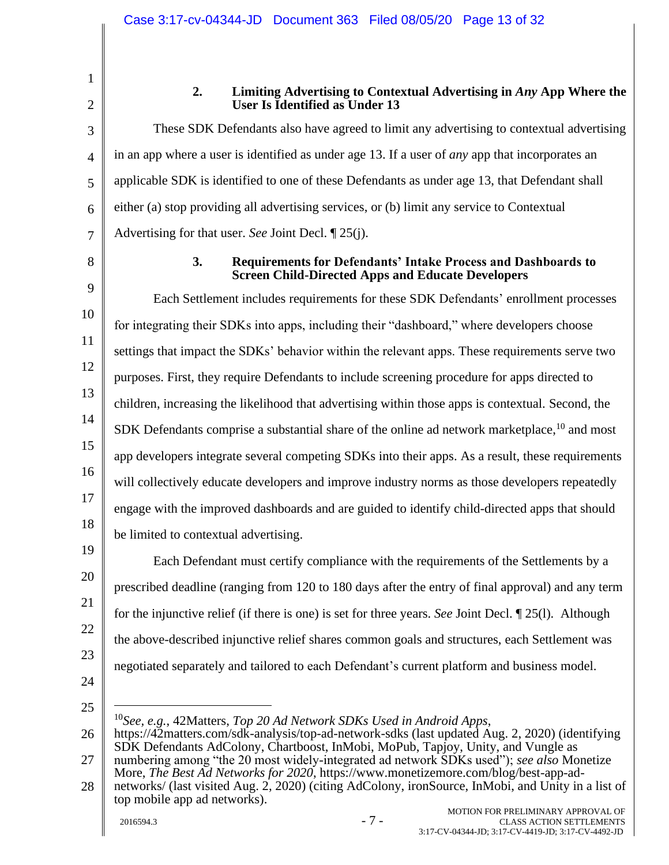| ï<br>z |  |
|--------|--|
|        |  |
|        |  |

4

5

6

7

<span id="page-12-0"></span>1

# **2. Limiting Advertising to Contextual Advertising in** *Any* **App Where the User Is Identified as Under 13**

These SDK Defendants also have agreed to limit any advertising to contextual advertising in an app where a user is identified as under age 13. If a user of *any* app that incorporates an applicable SDK is identified to one of these Defendants as under age 13, that Defendant shall either (a) stop providing all advertising services, or (b) limit any service to Contextual Advertising for that user. *See* Joint Decl. ¶ 25(j).

<span id="page-12-1"></span>8

# **3. Requirements for Defendants' Intake Process and Dashboards to Screen Child-Directed Apps and Educate Developers**

9 10 11 12 13 14 15 16 17 18 Each Settlement includes requirements for these SDK Defendants' enrollment processes for integrating their SDKs into apps, including their "dashboard," where developers choose settings that impact the SDKs' behavior within the relevant apps. These requirements serve two purposes. First, they require Defendants to include screening procedure for apps directed to children, increasing the likelihood that advertising within those apps is contextual. Second, the SDK Defendants comprise a substantial share of the online ad network marketplace, <sup>10</sup> and most app developers integrate several competing SDKs into their apps. As a result, these requirements will collectively educate developers and improve industry norms as those developers repeatedly engage with the improved dashboards and are guided to identify child-directed apps that should be limited to contextual advertising.

19 20 21 22 23 24 Each Defendant must certify compliance with the requirements of the Settlements by a prescribed deadline (ranging from 120 to 180 days after the entry of final approval) and any term for the injunctive relief (if there is one) is set for three years. *See* Joint Decl. ¶ 25(l). Although the above-described injunctive relief shares common goals and structures, each Settlement was negotiated separately and tailored to each Defendant's current platform and business model.

25

<sup>10</sup>*See, e.g.*, 42Matters, *Top 20 Ad Network SDKs Used in Android Apps*,

<sup>26</sup> 27 https://42matters.com/sdk-analysis/top-ad-network-sdks (last updated Aug. 2, 2020) (identifying SDK Defendants AdColony, Chartboost, InMobi, MoPub, Tapjoy, Unity, and Vungle as numbering among "the 20 most widely-integrated ad network SDKs used"); *see also* Monetize More, *The Best Ad Networks for 2020*, https://www.monetizemore.com/blog/best-app-ad-

<sup>28</sup> networks/ (last visited Aug. 2, 2020) (citing AdColony, ironSource, InMobi, and Unity in a list of top mobile app ad networks).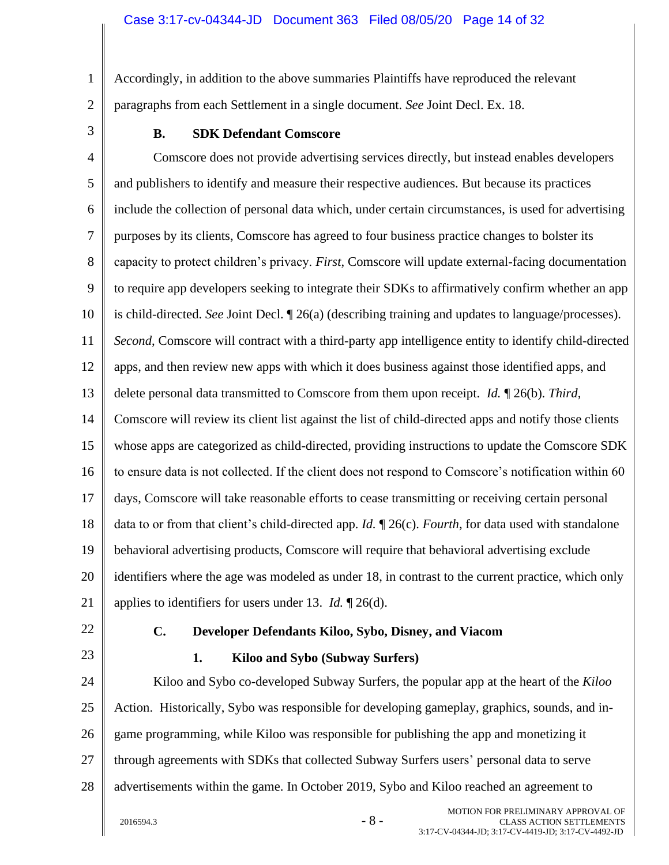1 2 Accordingly, in addition to the above summaries Plaintiffs have reproduced the relevant paragraphs from each Settlement in a single document. *See* Joint Decl. Ex. 18.

<span id="page-13-0"></span>3

# **B. SDK Defendant Comscore**

4 5 6 7 8 9 10 11 12 13 14 15 16 17 18 19 20 21 Comscore does not provide advertising services directly, but instead enables developers and publishers to identify and measure their respective audiences. But because its practices include the collection of personal data which, under certain circumstances, is used for advertising purposes by its clients, Comscore has agreed to four business practice changes to bolster its capacity to protect children's privacy. *First*, Comscore will update external-facing documentation to require app developers seeking to integrate their SDKs to affirmatively confirm whether an app is child-directed. *See* Joint Decl. ¶ 26(a) (describing training and updates to language/processes). *Second*, Comscore will contract with a third-party app intelligence entity to identify child-directed apps, and then review new apps with which it does business against those identified apps, and delete personal data transmitted to Comscore from them upon receipt. *Id.* ¶ 26(b). *Third*, Comscore will review its client list against the list of child-directed apps and notify those clients whose apps are categorized as child-directed, providing instructions to update the Comscore SDK to ensure data is not collected. If the client does not respond to Comscore's notification within 60 days, Comscore will take reasonable efforts to cease transmitting or receiving certain personal data to or from that client's child-directed app. *Id.* ¶ 26(c). *Fourth*, for data used with standalone behavioral advertising products, Comscore will require that behavioral advertising exclude identifiers where the age was modeled as under 18, in contrast to the current practice, which only applies to identifiers for users under 13. *Id.* ¶ 26(d).

<span id="page-13-1"></span>22

<span id="page-13-2"></span>23

# **C. Developer Defendants Kiloo, Sybo, Disney, and Viacom**

 $2016594.3$  - 8 -

## **1. Kiloo and Sybo (Subway Surfers)**

24 25 26 27 28 Kiloo and Sybo co-developed Subway Surfers, the popular app at the heart of the *Kiloo* Action. Historically, Sybo was responsible for developing gameplay, graphics, sounds, and ingame programming, while Kiloo was responsible for publishing the app and monetizing it through agreements with SDKs that collected Subway Surfers users' personal data to serve advertisements within the game. In October 2019, Sybo and Kiloo reached an agreement to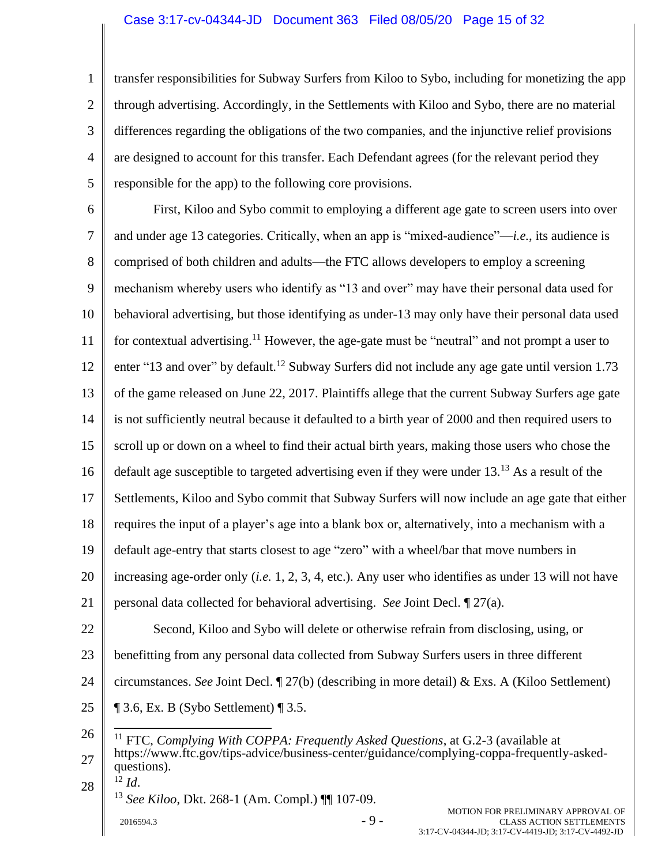1 2 3 4 5 transfer responsibilities for Subway Surfers from Kiloo to Sybo, including for monetizing the app through advertising. Accordingly, in the Settlements with Kiloo and Sybo, there are no material differences regarding the obligations of the two companies, and the injunctive relief provisions are designed to account for this transfer. Each Defendant agrees (for the relevant period they responsible for the app) to the following core provisions.

6 7 8 9 10 11 12 13 14 15 16 17 18 19 20 21 22 23 24 First, Kiloo and Sybo commit to employing a different age gate to screen users into over and under age 13 categories. Critically, when an app is "mixed-audience"—*i.e.*, its audience is comprised of both children and adults—the FTC allows developers to employ a screening mechanism whereby users who identify as "13 and over" may have their personal data used for behavioral advertising, but those identifying as under-13 may only have their personal data used for contextual advertising.<sup>11</sup> However, the age-gate must be "neutral" and not prompt a user to enter "13 and over" by default.<sup>12</sup> Subway Surfers did not include any age gate until version 1.73 of the game released on June 22, 2017. Plaintiffs allege that the current Subway Surfers age gate is not sufficiently neutral because it defaulted to a birth year of 2000 and then required users to scroll up or down on a wheel to find their actual birth years, making those users who chose the default age susceptible to targeted advertising even if they were under 13.<sup>13</sup> As a result of the Settlements, Kiloo and Sybo commit that Subway Surfers will now include an age gate that either requires the input of a player's age into a blank box or, alternatively, into a mechanism with a default age-entry that starts closest to age "zero" with a wheel/bar that move numbers in increasing age-order only (*i.e.* 1, 2, 3, 4, etc.). Any user who identifies as under 13 will not have personal data collected for behavioral advertising. *See* Joint Decl. ¶ 27(a). Second, Kiloo and Sybo will delete or otherwise refrain from disclosing, using, or benefitting from any personal data collected from Subway Surfers users in three different circumstances. *See* Joint Decl. ¶ 27(b) (describing in more detail) & Exs. A (Kiloo Settlement)

25  $\P$  3.6, Ex. B (Sybo Settlement)  $\P$  3.5.

28 <sup>12</sup> *Id*. <sup>13</sup> *See Kiloo*, Dkt. 268-1 (Am. Compl.) ¶¶ 107-09.

 $2016594.3$  - 9 -

<sup>26</sup> 27 <sup>11</sup> FTC, *Complying With COPPA: Frequently Asked Questions*, at G.2-3 (available at https://www.ftc.gov/tips-advice/business-center/guidance/complying-coppa-frequently-askedquestions).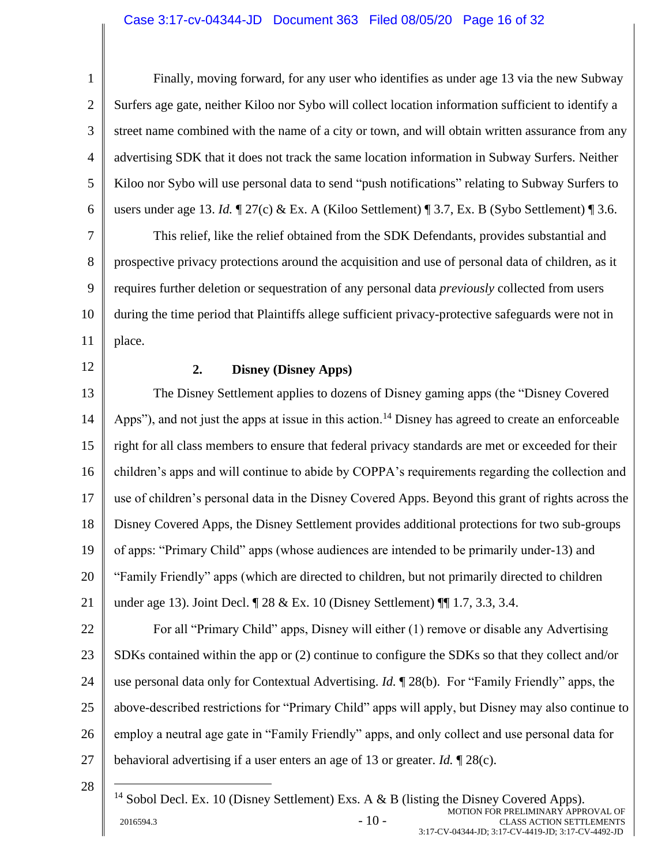# Case 3:17-cv-04344-JD Document 363 Filed 08/05/20 Page 16 of 32

<span id="page-15-0"></span>1 2 3 4 5 6 7 8 9 10 11 12 13 14 15 16 17 18 19 20 21 22 23 24 25 26 27 28 Finally, moving forward, for any user who identifies as under age 13 via the new Subway Surfers age gate, neither Kiloo nor Sybo will collect location information sufficient to identify a street name combined with the name of a city or town, and will obtain written assurance from any advertising SDK that it does not track the same location information in Subway Surfers. Neither Kiloo nor Sybo will use personal data to send "push notifications" relating to Subway Surfers to users under age 13. *Id.* ¶ 27(c) & Ex. A (Kiloo Settlement) ¶ 3.7, Ex. B (Sybo Settlement) ¶ 3.6. This relief, like the relief obtained from the SDK Defendants, provides substantial and prospective privacy protections around the acquisition and use of personal data of children, as it requires further deletion or sequestration of any personal data *previously* collected from users during the time period that Plaintiffs allege sufficient privacy-protective safeguards were not in place. **2. Disney (Disney Apps)** The Disney Settlement applies to dozens of Disney gaming apps (the "Disney Covered Apps"), and not just the apps at issue in this action.<sup>14</sup> Disney has agreed to create an enforceable right for all class members to ensure that federal privacy standards are met or exceeded for their children's apps and will continue to abide by COPPA's requirements regarding the collection and use of children's personal data in the Disney Covered Apps. Beyond this grant of rights across the Disney Covered Apps, the Disney Settlement provides additional protections for two sub-groups of apps: "Primary Child" apps (whose audiences are intended to be primarily under-13) and "Family Friendly" apps (which are directed to children, but not primarily directed to children under age 13). Joint Decl. ¶ 28 & Ex. 10 (Disney Settlement) ¶¶ 1.7, 3.3, 3.4. For all "Primary Child" apps, Disney will either (1) remove or disable any Advertising SDKs contained within the app or (2) continue to configure the SDKs so that they collect and/or use personal data only for Contextual Advertising. *Id.* ¶ 28(b). For "Family Friendly" apps, the above-described restrictions for "Primary Child" apps will apply, but Disney may also continue to employ a neutral age gate in "Family Friendly" apps, and only collect and use personal data for behavioral advertising if a user enters an age of 13 or greater. *Id.* ¶ 28(c). <sup>14</sup> Sobol Decl. Ex. 10 (Disney Settlement) Exs. A & B (listing the Disney Covered Apps).

 $2016594.3$  -  $10$  -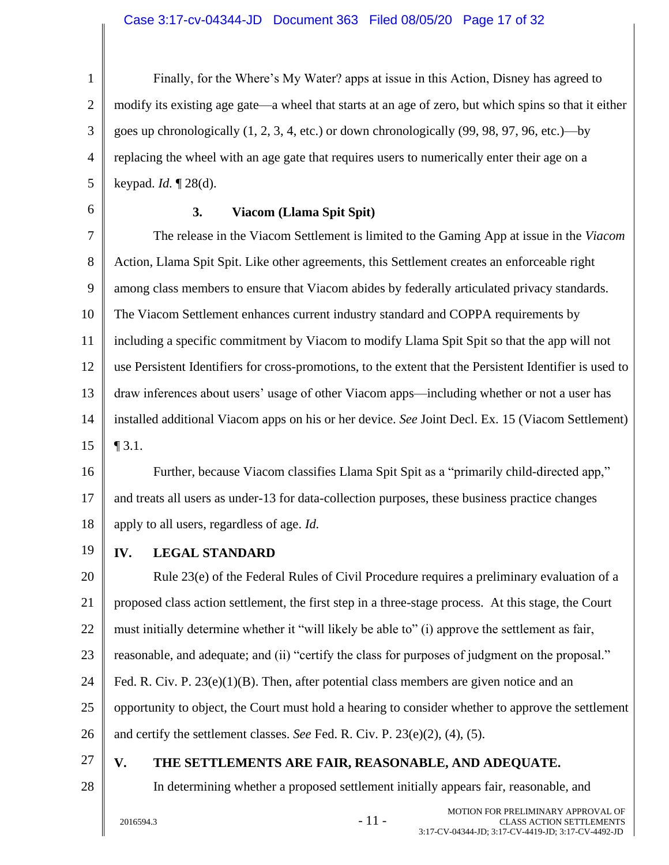<span id="page-16-2"></span><span id="page-16-1"></span><span id="page-16-0"></span>

| $\mathbf{1}$   | Finally, for the Where's My Water? apps at issue in this Action, Disney has agreed to                    |
|----------------|----------------------------------------------------------------------------------------------------------|
| $\overline{2}$ | modify its existing age gate—a wheel that starts at an age of zero, but which spins so that it either    |
| 3              | goes up chronologically (1, 2, 3, 4, etc.) or down chronologically (99, 98, 97, 96, etc.)—by             |
| 4              | replacing the wheel with an age gate that requires users to numerically enter their age on a             |
| 5              | keypad. $Id. \P$ 28(d).                                                                                  |
| 6              | 3.<br>Viacom (Llama Spit Spit)                                                                           |
| $\overline{7}$ | The release in the Viacom Settlement is limited to the Gaming App at issue in the Viacom                 |
| 8              | Action, Llama Spit Spit. Like other agreements, this Settlement creates an enforceable right             |
| 9              | among class members to ensure that Viacom abides by federally articulated privacy standards.             |
| 10             | The Viacom Settlement enhances current industry standard and COPPA requirements by                       |
| 11             | including a specific commitment by Viacom to modify Llama Spit Spit so that the app will not             |
| 12             | use Persistent Identifiers for cross-promotions, to the extent that the Persistent Identifier is used to |
| 13             | draw inferences about users' usage of other Viacom apps—including whether or not a user has              |
| 14             | installed additional Viacom apps on his or her device. See Joint Decl. Ex. 15 (Viacom Settlement)        |
| 15             | $\P$ 3.1.                                                                                                |
| 16             | Further, because Viacom classifies Llama Spit Spit as a "primarily child-directed app,"                  |
| 17             | and treats all users as under-13 for data-collection purposes, these business practice changes           |
| 18             | apply to all users, regardless of age. Id.                                                               |
| 19             | IV.<br><b>LEGAL STANDARD</b>                                                                             |
| 20             | Rule 23(e) of the Federal Rules of Civil Procedure requires a preliminary evaluation of a                |
| 21             | proposed class action settlement, the first step in a three-stage process. At this stage, the Court      |
| 22             | must initially determine whether it "will likely be able to" (i) approve the settlement as fair,         |
| 23             | reasonable, and adequate; and (ii) "certify the class for purposes of judgment on the proposal."         |
| 24             | Fed. R. Civ. P. $23(e)(1)(B)$ . Then, after potential class members are given notice and an              |
| 25             | opportunity to object, the Court must hold a hearing to consider whether to approve the settlement       |
| 26             | and certify the settlement classes. See Fed. R. Civ. P. $23(e)(2)$ , (4), (5).                           |
| 27             | THE SETTLEMENTS ARE FAIR, REASONABLE, AND ADEQUATE.<br>V.                                                |
| 28             | In determining whether a proposed settlement initially appears fair, reasonable, and                     |
|                |                                                                                                          |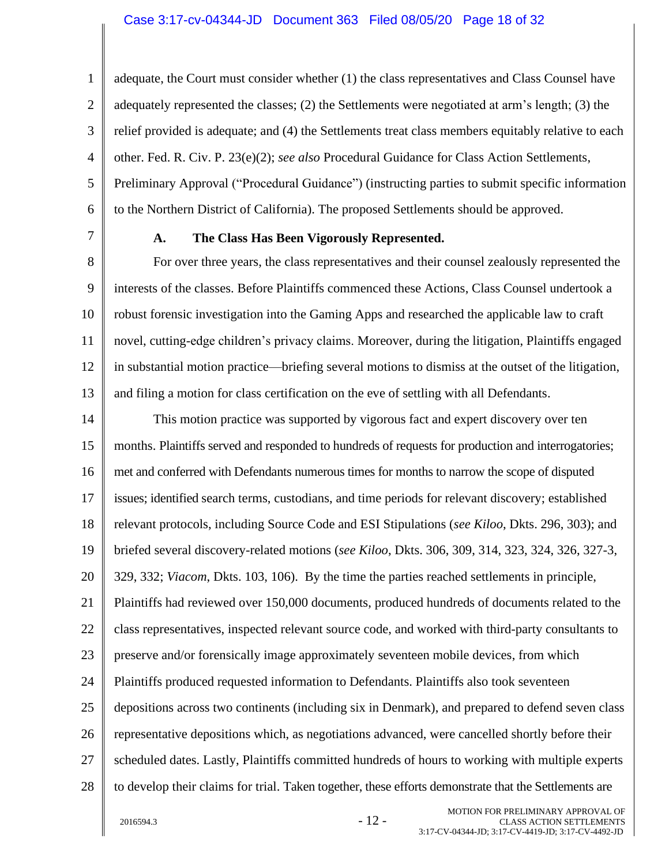1 2 3 4 5 6 adequate, the Court must consider whether (1) the class representatives and Class Counsel have adequately represented the classes; (2) the Settlements were negotiated at arm's length; (3) the relief provided is adequate; and (4) the Settlements treat class members equitably relative to each other. Fed. R. Civ. P. 23(e)(2); *see also* Procedural Guidance for Class Action Settlements, Preliminary Approval ("Procedural Guidance") (instructing parties to submit specific information to the Northern District of California). The proposed Settlements should be approved.

<span id="page-17-0"></span>7

## **A. The Class Has Been Vigorously Represented.**

8 9 10 11 12 13 For over three years, the class representatives and their counsel zealously represented the interests of the classes. Before Plaintiffs commenced these Actions, Class Counsel undertook a robust forensic investigation into the Gaming Apps and researched the applicable law to craft novel, cutting-edge children's privacy claims. Moreover, during the litigation, Plaintiffs engaged in substantial motion practice—briefing several motions to dismiss at the outset of the litigation, and filing a motion for class certification on the eve of settling with all Defendants.

14 15 16 17 18 19 20 21 22 23 24 25 26 27 28 This motion practice was supported by vigorous fact and expert discovery over ten months. Plaintiffs served and responded to hundreds of requests for production and interrogatories; met and conferred with Defendants numerous times for months to narrow the scope of disputed issues; identified search terms, custodians, and time periods for relevant discovery; established relevant protocols, including Source Code and ESI Stipulations (*see Kiloo*, Dkts. 296, 303); and briefed several discovery-related motions (*see Kiloo*, Dkts. 306, 309, 314, 323, 324, 326, 327-3, 329, 332; *Viacom*, Dkts. 103, 106). By the time the parties reached settlements in principle, Plaintiffs had reviewed over 150,000 documents, produced hundreds of documents related to the class representatives, inspected relevant source code, and worked with third-party consultants to preserve and/or forensically image approximately seventeen mobile devices, from which Plaintiffs produced requested information to Defendants. Plaintiffs also took seventeen depositions across two continents (including six in Denmark), and prepared to defend seven class representative depositions which, as negotiations advanced, were cancelled shortly before their scheduled dates. Lastly, Plaintiffs committed hundreds of hours to working with multiple experts to develop their claims for trial. Taken together, these efforts demonstrate that the Settlements are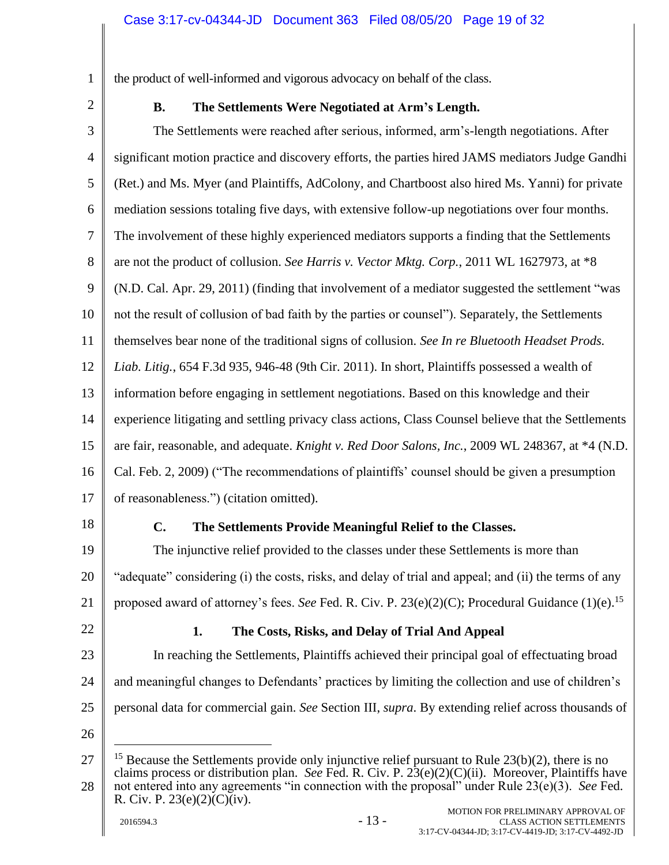1 2 <span id="page-18-0"></span>the product of well-informed and vigorous advocacy on behalf of the class.

# **B. The Settlements Were Negotiated at Arm's Length.**

3 4 5 6 7 8 9 10 11 12 13 14 15 16 17 The Settlements were reached after serious, informed, arm's-length negotiations. After significant motion practice and discovery efforts, the parties hired JAMS mediators Judge Gandhi (Ret.) and Ms. Myer (and Plaintiffs, AdColony, and Chartboost also hired Ms. Yanni) for private mediation sessions totaling five days, with extensive follow-up negotiations over four months. The involvement of these highly experienced mediators supports a finding that the Settlements are not the product of collusion. *See Harris v. Vector Mktg. Corp.*, 2011 WL 1627973, at \*8 (N.D. Cal. Apr. 29, 2011) (finding that involvement of a mediator suggested the settlement "was not the result of collusion of bad faith by the parties or counsel"). Separately, the Settlements themselves bear none of the traditional signs of collusion. *See In re Bluetooth Headset Prods. Liab. Litig.*, 654 F.3d 935, 946-48 (9th Cir. 2011). In short, Plaintiffs possessed a wealth of information before engaging in settlement negotiations. Based on this knowledge and their experience litigating and settling privacy class actions, Class Counsel believe that the Settlements are fair, reasonable, and adequate. *Knight v. Red Door Salons, Inc.*, 2009 WL 248367, at \*4 (N.D. Cal. Feb. 2, 2009) ("The recommendations of plaintiffs' counsel should be given a presumption of reasonableness.") (citation omitted).

<span id="page-18-1"></span>18

# **C. The Settlements Provide Meaningful Relief to the Classes.**

19 20 21 The injunctive relief provided to the classes under these Settlements is more than "adequate" considering (i) the costs, risks, and delay of trial and appeal; and (ii) the terms of any proposed award of attorney's fees. *See* Fed. R. Civ. P. 23(e)(2)(C); Procedural Guidance (1)(e). 15

<span id="page-18-2"></span>22

# **1. The Costs, Risks, and Delay of Trial And Appeal**

23 24 25 In reaching the Settlements, Plaintiffs achieved their principal goal of effectuating broad and meaningful changes to Defendants' practices by limiting the collection and use of children's personal data for commercial gain. *See* Section [III,](#page-9-0) *supra*. By extending relief across thousands of

<sup>27</sup> 28 <sup>15</sup> Because the Settlements provide only injunctive relief pursuant to Rule  $23(b)(2)$ , there is no claims process or distribution plan. *See* Fed. R. Civ. P. 23(e)(2)(C)(ii). Moreover, Plaintiffs have not entered into any agreements "in connection with the proposal" under Rule 23(e)(3). *See* Fed. R. Civ. P.  $23(e)(2)(C)(iv)$ .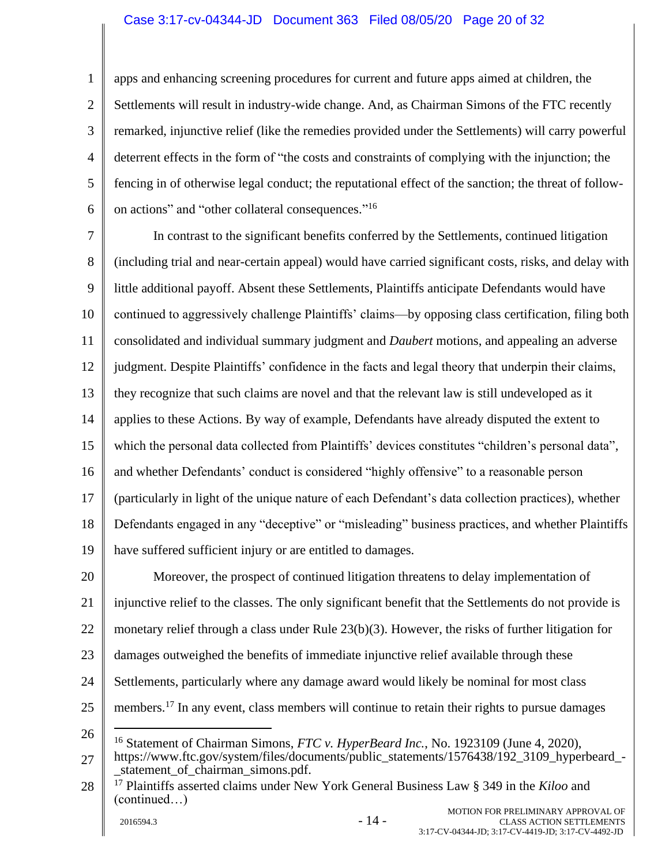1 2 3 4 5 6 apps and enhancing screening procedures for current and future apps aimed at children, the Settlements will result in industry-wide change. And, as Chairman Simons of the FTC recently remarked, injunctive relief (like the remedies provided under the Settlements) will carry powerful deterrent effects in the form of "the costs and constraints of complying with the injunction; the fencing in of otherwise legal conduct; the reputational effect of the sanction; the threat of followon actions" and "other collateral consequences."<sup>16</sup>

7 8 9 10 11 12 13 14 15 16 17 18 19 In contrast to the significant benefits conferred by the Settlements, continued litigation (including trial and near-certain appeal) would have carried significant costs, risks, and delay with little additional payoff. Absent these Settlements, Plaintiffs anticipate Defendants would have continued to aggressively challenge Plaintiffs' claims—by opposing class certification, filing both consolidated and individual summary judgment and *Daubert* motions, and appealing an adverse judgment. Despite Plaintiffs' confidence in the facts and legal theory that underpin their claims, they recognize that such claims are novel and that the relevant law is still undeveloped as it applies to these Actions. By way of example, Defendants have already disputed the extent to which the personal data collected from Plaintiffs' devices constitutes "children's personal data", and whether Defendants' conduct is considered "highly offensive" to a reasonable person (particularly in light of the unique nature of each Defendant's data collection practices), whether Defendants engaged in any "deceptive" or "misleading" business practices, and whether Plaintiffs have suffered sufficient injury or are entitled to damages.

20 21 22 23 24 25 Moreover, the prospect of continued litigation threatens to delay implementation of injunctive relief to the classes. The only significant benefit that the Settlements do not provide is monetary relief through a class under Rule 23(b)(3). However, the risks of further litigation for damages outweighed the benefits of immediate injunctive relief available through these Settlements, particularly where any damage award would likely be nominal for most class members.<sup>17</sup> In any event, class members will continue to retain their rights to pursue damages

<sup>27</sup> <sup>16</sup> Statement of Chairman Simons, *FTC v. HyperBeard Inc.*, No. 1923109 (June 4, 2020), https://www.ftc.gov/system/files/documents/public\_statements/1576438/192\_3109\_hyperbeard\_ statement of chairman simons.pdf.

<sup>28</sup> <sup>17</sup> Plaintiffs asserted claims under New York General Business Law § 349 in the *Kiloo* and (continued…)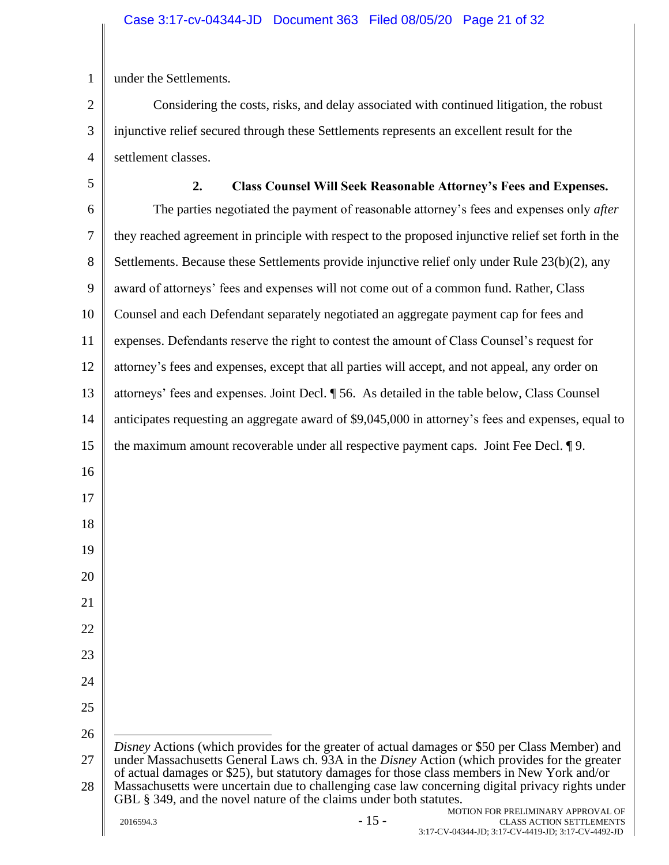1 under the Settlements.

2 3 4 Considering the costs, risks, and delay associated with continued litigation, the robust injunctive relief secured through these Settlements represents an excellent result for the settlement classes.

<span id="page-20-0"></span>5 6 7 8 9 10 11 12 13 14 15 16 17 18 19 20 21 22 23 24 25 26 27 28 **2. Class Counsel Will Seek Reasonable Attorney's Fees and Expenses.** The parties negotiated the payment of reasonable attorney's fees and expenses only *after* they reached agreement in principle with respect to the proposed injunctive relief set forth in the Settlements. Because these Settlements provide injunctive relief only under Rule 23(b)(2), any award of attorneys' fees and expenses will not come out of a common fund. Rather, Class Counsel and each Defendant separately negotiated an aggregate payment cap for fees and expenses. Defendants reserve the right to contest the amount of Class Counsel's request for attorney's fees and expenses, except that all parties will accept, and not appeal, any order on attorneys' fees and expenses. Joint Decl. ¶ 56. As detailed in the table below, Class Counsel anticipates requesting an aggregate award of \$9,045,000 in attorney's fees and expenses, equal to the maximum amount recoverable under all respective payment caps. Joint Fee Decl. ¶ 9. *Disney* Actions (which provides for the greater of actual damages or \$50 per Class Member) and under Massachusetts General Laws ch. 93A in the *Disney* Action (which provides for the greater of actual damages or \$25), but statutory damages for those class members in New York and/or Massachusetts were uncertain due to challenging case law concerning digital privacy rights under GBL § 349, and the novel nature of the claims under both statutes.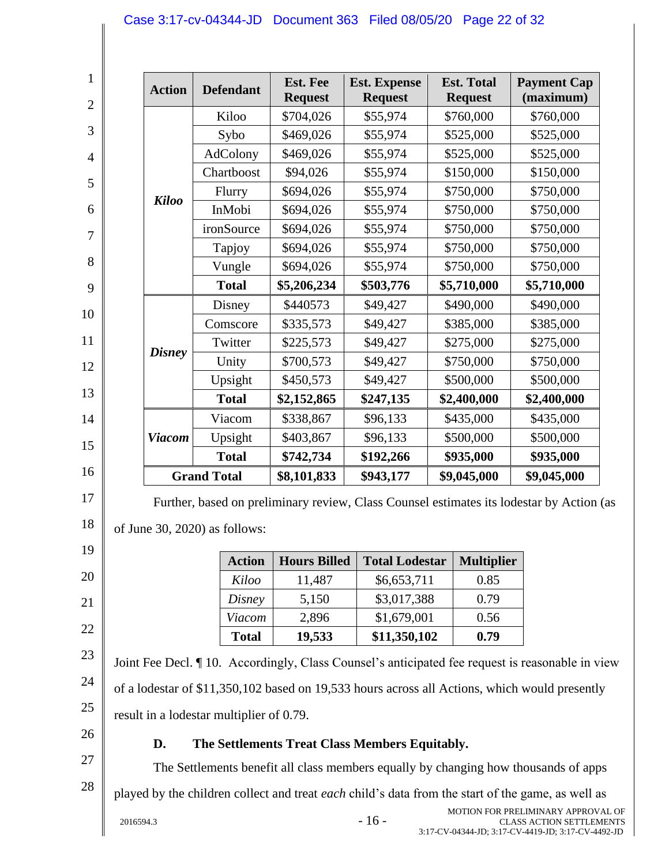## Case 3:17-cv-04344-JD Document 363 Filed 08/05/20 Page 22 of 32

| <b>Action</b> | <b>Defendant</b>              | <b>Est. Fee</b><br><b>Request</b> | <b>Est. Expense</b><br><b>Request</b>                                                    | <b>Est. Total</b><br><b>Request</b> | <b>Payment Cap</b><br>(maximum) |
|---------------|-------------------------------|-----------------------------------|------------------------------------------------------------------------------------------|-------------------------------------|---------------------------------|
|               | Kiloo                         | \$704,026                         | \$55,974                                                                                 | \$760,000                           | \$760,000                       |
|               | Sybo                          | \$469,026                         | \$55,974                                                                                 | \$525,000                           | \$525,000                       |
|               | AdColony                      | \$469,026                         | \$55,974                                                                                 | \$525,000                           | \$525,000                       |
|               | Chartboost                    | \$94,026                          | \$55,974                                                                                 | \$150,000                           | \$150,000                       |
| <b>Kiloo</b>  | Flurry                        | \$694,026                         | \$55,974                                                                                 | \$750,000                           | \$750,000                       |
|               | InMobi                        | \$694,026                         | \$55,974                                                                                 | \$750,000                           | \$750,000                       |
|               | ironSource                    | \$694,026                         | \$55,974                                                                                 | \$750,000                           | \$750,000                       |
|               | Tapjoy                        | \$694,026                         | \$55,974                                                                                 | \$750,000                           | \$750,000                       |
|               | Vungle                        | \$694,026                         | \$55,974                                                                                 | \$750,000                           | \$750,000                       |
|               | <b>Total</b>                  | \$5,206,234                       | \$503,776                                                                                | \$5,710,000                         | \$5,710,000                     |
|               | Disney                        | \$440573                          | \$49,427                                                                                 | \$490,000                           | \$490,000                       |
|               | Comscore                      | \$335,573                         | \$49,427                                                                                 | \$385,000                           | \$385,000                       |
|               | Twitter                       | \$225,573                         | \$49,427                                                                                 | \$275,000                           | \$275,000                       |
| <b>Disney</b> | Unity                         | \$700,573                         | \$49,427                                                                                 | \$750,000                           | \$750,000                       |
|               | Upsight                       | \$450,573                         | \$49,427                                                                                 | \$500,000                           | \$500,000                       |
|               | <b>Total</b>                  | \$2,152,865                       | \$247,135                                                                                | \$2,400,000                         | \$2,400,000                     |
|               | Viacom                        | \$338,867                         | \$96,133                                                                                 | \$435,000                           | \$435,000                       |
| <b>Viacom</b> | Upsight                       | \$403,867                         | \$96,133                                                                                 | \$500,000                           | \$500,000                       |
|               | <b>Total</b>                  | \$742,734                         | \$192,266                                                                                | \$935,000                           | \$935,000                       |
|               | <b>Grand Total</b>            | \$8,101,833                       | \$943,177                                                                                | \$9,045,000                         | \$9,045,000                     |
|               | of June 30, 2020) as follows: |                                   | Further, based on preliminary review, Class Counsel estimates its lodestar by Action (as |                                     |                                 |

| <b>Action</b> | <b>Hours Billed</b> | <b>Total Lodestar</b> | <b>Multiplier</b> |
|---------------|---------------------|-----------------------|-------------------|
| Kiloo         | 11,487              | \$6,653,711           | 0.85              |
| Disney        | 5,150               | \$3,017,388           | 0.79              |
| Viacom        | 2,896               | \$1,679,001           | 0.56              |
| <b>Total</b>  | 19,533              | \$11,350,102          | 0.79              |

23 24 25 Joint Fee Decl. ¶ 10. Accordingly, Class Counsel's anticipated fee request is reasonable in view of a lodestar of \$11,350,102 based on 19,533 hours across all Actions, which would presently result in a lodestar multiplier of 0.79.

<span id="page-21-0"></span>26

20

21

22

27

28

# **D. The Settlements Treat Class Members Equitably.**

The Settlements benefit all class members equally by changing how thousands of apps

played by the children collect and treat *each* child's data from the start of the game, as well as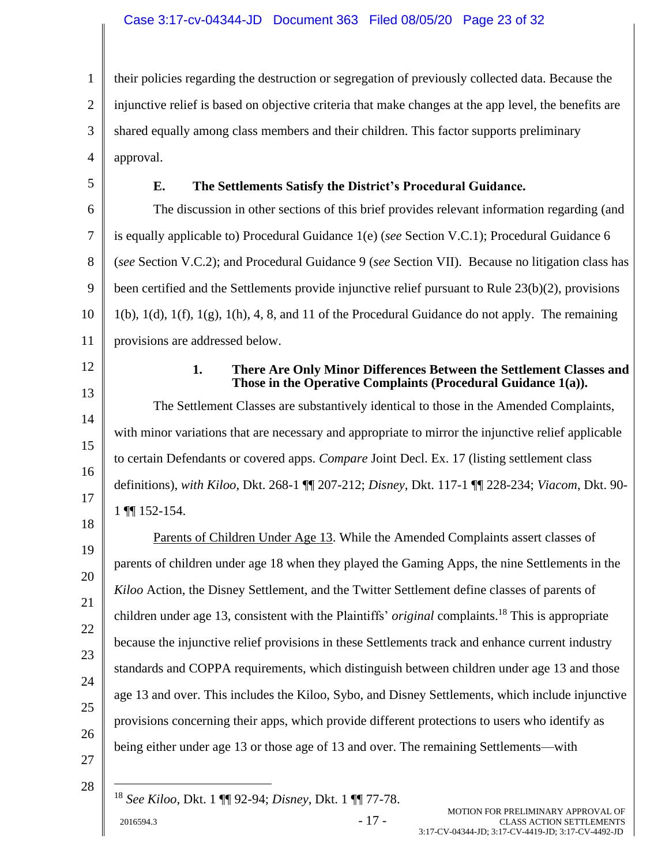1 2 3 4 their policies regarding the destruction or segregation of previously collected data. Because the injunctive relief is based on objective criteria that make changes at the app level, the benefits are shared equally among class members and their children. This factor supports preliminary approval.

<span id="page-22-0"></span>5

# **E. The Settlements Satisfy the District's Procedural Guidance.**

6 7 8 9 10 11 The discussion in other sections of this brief provides relevant information regarding (and is equally applicable to) Procedural Guidance 1(e) (*see* Section [V.C.1\)](#page-18-2); Procedural Guidance 6 (*see* Section [V.C.2\)](#page-20-0); and Procedural Guidance 9 (*see* Section [VII\)](#page-30-0). Because no litigation class has been certified and the Settlements provide injunctive relief pursuant to Rule 23(b)(2), provisions  $1(b)$ ,  $1(d)$ ,  $1(f)$ ,  $1(g)$ ,  $1(h)$ ,  $4$ ,  $8$ , and  $11$  of the Procedural Guidance do not apply. The remaining provisions are addressed below.

<span id="page-22-1"></span>12

13

14

15

16

17

18

21

**1. There Are Only Minor Differences Between the Settlement Classes and Those in the Operative Complaints (Procedural Guidance 1(a)).**

The Settlement Classes are substantively identical to those in the Amended Complaints, with minor variations that are necessary and appropriate to mirror the injunctive relief applicable to certain Defendants or covered apps. *Compare* Joint Decl. Ex. 17 (listing settlement class definitions), *with Kiloo*, Dkt. 268-1 ¶¶ 207-212; *Disney*, Dkt. 117-1 ¶¶ 228-234; *Viacom*, Dkt. 90- 1 ¶¶ 152-154.

19 20 22 23 24 25 26 27 Parents of Children Under Age 13. While the Amended Complaints assert classes of parents of children under age 18 when they played the Gaming Apps, the nine Settlements in the *Kiloo* Action, the Disney Settlement, and the Twitter Settlement define classes of parents of children under age 13, consistent with the Plaintiffs' *original* complaints.<sup>18</sup> This is appropriate because the injunctive relief provisions in these Settlements track and enhance current industry standards and COPPA requirements, which distinguish between children under age 13 and those age 13 and over. This includes the Kiloo, Sybo, and Disney Settlements, which include injunctive provisions concerning their apps, which provide different protections to users who identify as being either under age 13 or those age of 13 and over. The remaining Settlements—with

28

<sup>18</sup> *See Kiloo*, Dkt. 1 ¶¶ 92-94; *Disney*, Dkt. 1 ¶¶ 77-78.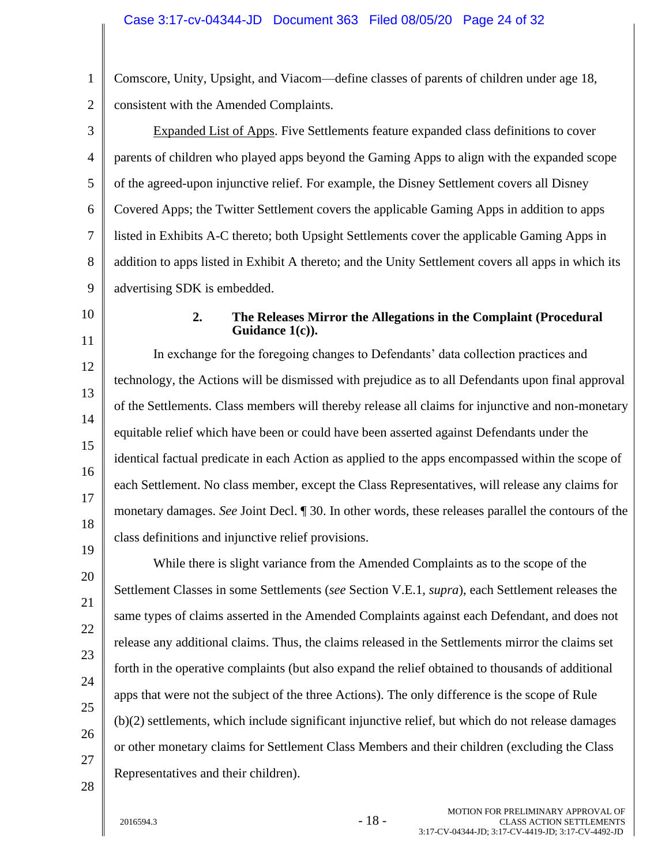1 2 Comscore, Unity, Upsight, and Viacom—define classes of parents of children under age 18, consistent with the Amended Complaints.

3 4 5 6 7 8 9 Expanded List of Apps. Five Settlements feature expanded class definitions to cover parents of children who played apps beyond the Gaming Apps to align with the expanded scope of the agreed-upon injunctive relief. For example, the Disney Settlement covers all Disney Covered Apps; the Twitter Settlement covers the applicable Gaming Apps in addition to apps listed in Exhibits A-C thereto; both Upsight Settlements cover the applicable Gaming Apps in addition to apps listed in Exhibit A thereto; and the Unity Settlement covers all apps in which its advertising SDK is embedded.

<span id="page-23-0"></span>10

11

12

13

14

15

16

17

18

19

20

21

22

23

24

25

26

#### **2. The Releases Mirror the Allegations in the Complaint (Procedural Guidance 1(c)).**

In exchange for the foregoing changes to Defendants' data collection practices and technology, the Actions will be dismissed with prejudice as to all Defendants upon final approval of the Settlements. Class members will thereby release all claims for injunctive and non-monetary equitable relief which have been or could have been asserted against Defendants under the identical factual predicate in each Action as applied to the apps encompassed within the scope of each Settlement. No class member, except the Class Representatives, will release any claims for monetary damages. *See* Joint Decl. ¶ 30. In other words, these releases parallel the contours of the class definitions and injunctive relief provisions.

While there is slight variance from the Amended Complaints as to the scope of the Settlement Classes in some Settlements (*see* Section V.E.1, *supra*), each Settlement releases the same types of claims asserted in the Amended Complaints against each Defendant, and does not release any additional claims. Thus, the claims released in the Settlements mirror the claims set forth in the operative complaints (but also expand the relief obtained to thousands of additional apps that were not the subject of the three Actions). The only difference is the scope of Rule (b)(2) settlements, which include significant injunctive relief, but which do not release damages or other monetary claims for Settlement Class Members and their children (excluding the Class Representatives and their children).

28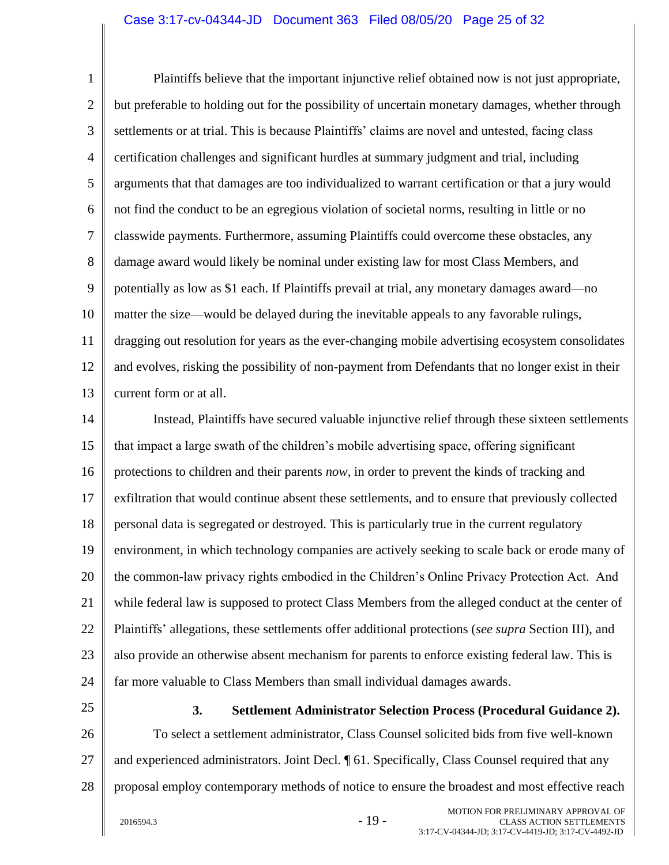#### Case 3:17-cv-04344-JD Document 363 Filed 08/05/20 Page 25 of 32

1 2 3 4 5 6 7 8 9 10 11 12 13 Plaintiffs believe that the important injunctive relief obtained now is not just appropriate, but preferable to holding out for the possibility of uncertain monetary damages, whether through settlements or at trial. This is because Plaintiffs' claims are novel and untested, facing class certification challenges and significant hurdles at summary judgment and trial, including arguments that that damages are too individualized to warrant certification or that a jury would not find the conduct to be an egregious violation of societal norms, resulting in little or no classwide payments. Furthermore, assuming Plaintiffs could overcome these obstacles, any damage award would likely be nominal under existing law for most Class Members, and potentially as low as \$1 each. If Plaintiffs prevail at trial, any monetary damages award—no matter the size—would be delayed during the inevitable appeals to any favorable rulings, dragging out resolution for years as the ever-changing mobile advertising ecosystem consolidates and evolves, risking the possibility of non-payment from Defendants that no longer exist in their current form or at all.

14 15 16 17 18 19 20 21 22 23 24 Instead, Plaintiffs have secured valuable injunctive relief through these sixteen settlements that impact a large swath of the children's mobile advertising space, offering significant protections to children and their parents *now*, in order to prevent the kinds of tracking and exfiltration that would continue absent these settlements, and to ensure that previously collected personal data is segregated or destroyed. This is particularly true in the current regulatory environment, in which technology companies are actively seeking to scale back or erode many of the common-law privacy rights embodied in the Children's Online Privacy Protection Act. And while federal law is supposed to protect Class Members from the alleged conduct at the center of Plaintiffs' allegations, these settlements offer additional protections (*see supra* Section III), and also provide an otherwise absent mechanism for parents to enforce existing federal law. This is far more valuable to Class Members than small individual damages awards.

<span id="page-24-0"></span>25

**3. Settlement Administrator Selection Process (Procedural Guidance 2).**

26 27 28 To select a settlement administrator, Class Counsel solicited bids from five well-known and experienced administrators. Joint Decl. ¶ 61. Specifically, Class Counsel required that any proposal employ contemporary methods of notice to ensure the broadest and most effective reach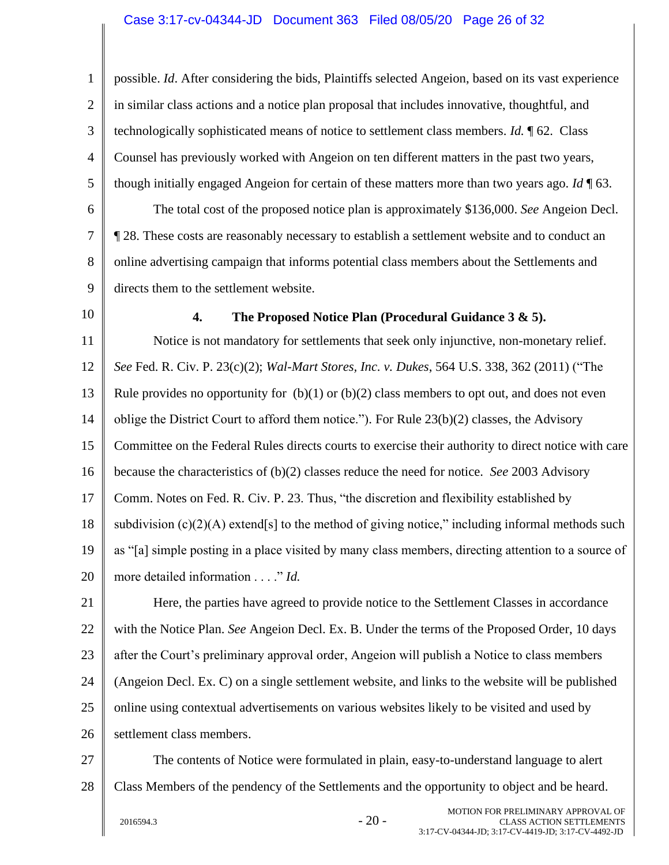1 2 3 4 5 6 7 8 9 possible. *Id*. After considering the bids, Plaintiffs selected Angeion, based on its vast experience in similar class actions and a notice plan proposal that includes innovative, thoughtful, and technologically sophisticated means of notice to settlement class members. *Id.* ¶ 62. Class Counsel has previously worked with Angeion on ten different matters in the past two years, though initially engaged Angeion for certain of these matters more than two years ago. *Id* ¶ 63. The total cost of the proposed notice plan is approximately \$136,000. *See* Angeion Decl. ¶ 28. These costs are reasonably necessary to establish a settlement website and to conduct an online advertising campaign that informs potential class members about the Settlements and directs them to the settlement website.

<span id="page-25-0"></span>10

## **4. The Proposed Notice Plan (Procedural Guidance 3 & 5).**

11 12 13 14 15 16 17 18 19 20 Notice is not mandatory for settlements that seek only injunctive, non-monetary relief. *See* Fed. R. Civ. P. 23(c)(2); *Wal-Mart Stores, Inc. v. Dukes*, 564 U.S. 338, 362 (2011) ("The Rule provides no opportunity for  $(b)(1)$  or  $(b)(2)$  class members to opt out, and does not even oblige the District Court to afford them notice."). For Rule  $23(b)(2)$  classes, the Advisory Committee on the Federal Rules directs courts to exercise their authority to direct notice with care because the characteristics of (b)(2) classes reduce the need for notice. *See* 2003 Advisory Comm. Notes on Fed. R. Civ. P. 23. Thus, "the discretion and flexibility established by subdivision  $(c)(2)(A)$  extend[s] to the method of giving notice," including informal methods such as "[a] simple posting in a place visited by many class members, directing attention to a source of more detailed information . . . ." *Id.*

21 22 23 24 25 26 Here, the parties have agreed to provide notice to the Settlement Classes in accordance with the Notice Plan. *See* Angeion Decl. Ex. B. Under the terms of the Proposed Order, 10 days after the Court's preliminary approval order, Angeion will publish a Notice to class members (Angeion Decl. Ex. C) on a single settlement website, and links to the website will be published online using contextual advertisements on various websites likely to be visited and used by settlement class members.

27 28 The contents of Notice were formulated in plain, easy-to-understand language to alert Class Members of the pendency of the Settlements and the opportunity to object and be heard.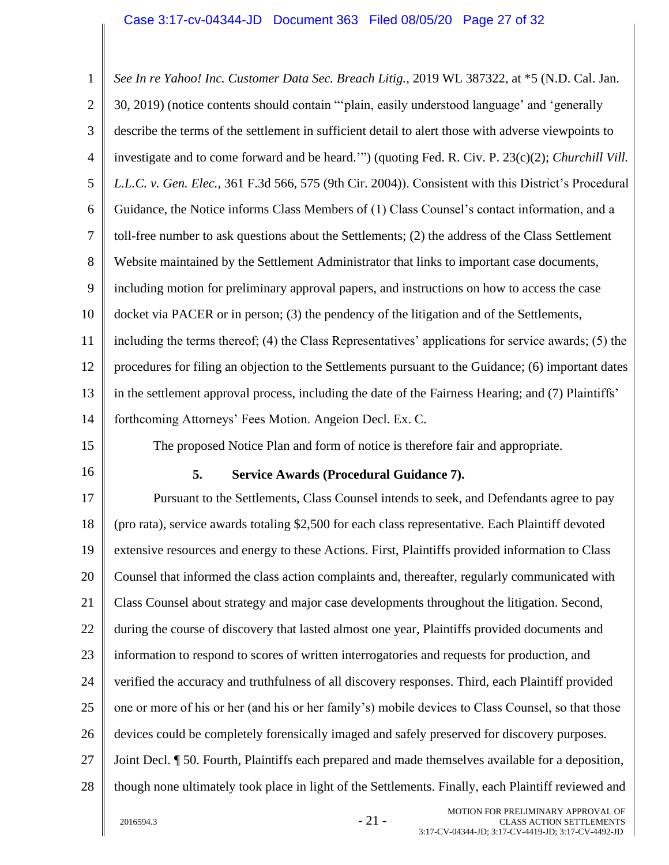<span id="page-26-0"></span>1 2 3 4 5 6 7 8 9 10 11 12 13 14 15 16 17 18 19 20 21 22 23 24 25 26 27 28 *See In re Yahoo! Inc. Customer Data Sec. Breach Litig.*, 2019 WL 387322, at \*5 (N.D. Cal. Jan. 30, 2019) (notice contents should contain "'plain, easily understood language' and 'generally describe the terms of the settlement in sufficient detail to alert those with adverse viewpoints to investigate and to come forward and be heard.'") (quoting Fed. R. Civ. P. 23(c)(2); *Churchill Vill. L.L.C. v. Gen. Elec.*, 361 F.3d 566, 575 (9th Cir. 2004)). Consistent with this District's Procedural Guidance, the Notice informs Class Members of (1) Class Counsel's contact information, and a toll-free number to ask questions about the Settlements; (2) the address of the Class Settlement Website maintained by the Settlement Administrator that links to important case documents, including motion for preliminary approval papers, and instructions on how to access the case docket via PACER or in person; (3) the pendency of the litigation and of the Settlements, including the terms thereof; (4) the Class Representatives' applications for service awards; (5) the procedures for filing an objection to the Settlements pursuant to the Guidance; (6) important dates in the settlement approval process, including the date of the Fairness Hearing; and (7) Plaintiffs' forthcoming Attorneys' Fees Motion. Angeion Decl. Ex. C. The proposed Notice Plan and form of notice is therefore fair and appropriate. **5. Service Awards (Procedural Guidance 7).** Pursuant to the Settlements, Class Counsel intends to seek, and Defendants agree to pay (pro rata), service awards totaling \$2,500 for each class representative. Each Plaintiff devoted extensive resources and energy to these Actions. First, Plaintiffs provided information to Class Counsel that informed the class action complaints and, thereafter, regularly communicated with Class Counsel about strategy and major case developments throughout the litigation. Second, during the course of discovery that lasted almost one year, Plaintiffs provided documents and information to respond to scores of written interrogatories and requests for production, and verified the accuracy and truthfulness of all discovery responses. Third, each Plaintiff provided one or more of his or her (and his or her family's) mobile devices to Class Counsel, so that those devices could be completely forensically imaged and safely preserved for discovery purposes. Joint Decl. ¶ 50. Fourth, Plaintiffs each prepared and made themselves available for a deposition, though none ultimately took place in light of the Settlements. Finally, each Plaintiff reviewed and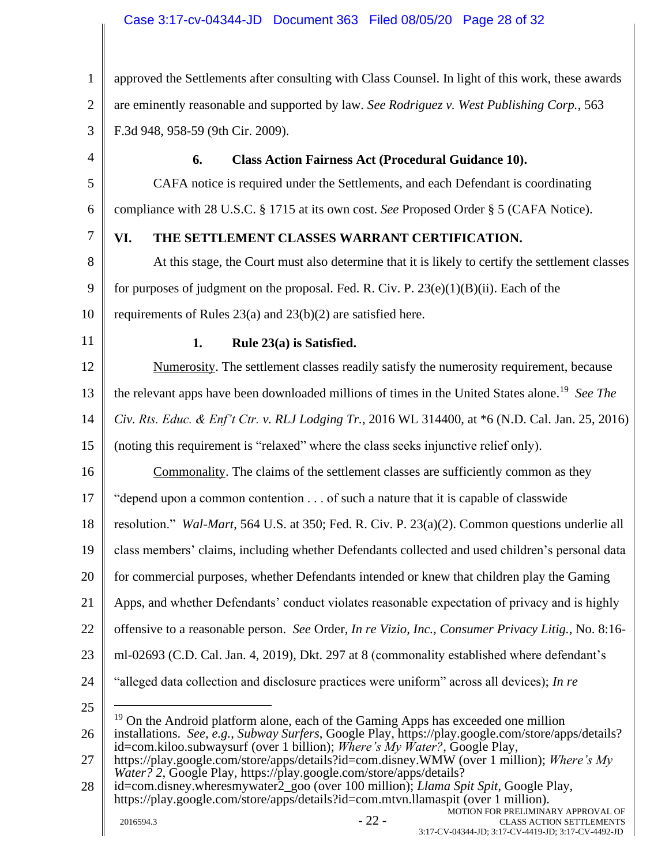# Case 3:17-cv-04344-JD Document 363 Filed 08/05/20 Page 28 of 32

<span id="page-27-2"></span><span id="page-27-1"></span><span id="page-27-0"></span>1 2 3 4 5 6 7 8 9 10 11 12 13 14 15 16 17 18 19 20 21 22 23 24 25 26 27 28 approved the Settlements after consulting with Class Counsel. In light of this work, these awards are eminently reasonable and supported by law. *See Rodriguez v. West Publishing Corp.*, 563 F.3d 948, 958-59 (9th Cir. 2009). **6. Class Action Fairness Act (Procedural Guidance 10).** CAFA notice is required under the Settlements, and each Defendant is coordinating compliance with 28 U.S.C. § 1715 at its own cost. *See* Proposed Order § 5 (CAFA Notice). **VI. THE SETTLEMENT CLASSES WARRANT CERTIFICATION.** At this stage, the Court must also determine that it is likely to certify the settlement classes for purposes of judgment on the proposal. Fed. R. Civ. P. 23(e)(1)(B)(ii). Each of the requirements of Rules 23(a) and 23(b)(2) are satisfied here. **1. Rule 23(a) is Satisfied.** Numerosity. The settlement classes readily satisfy the numerosity requirement, because the relevant apps have been downloaded millions of times in the United States alone. 19 *See The Civ. Rts. Educ. & Enf't Ctr. v. RLJ Lodging Tr.*, 2016 WL 314400, at \*6 (N.D. Cal. Jan. 25, 2016) (noting this requirement is "relaxed" where the class seeks injunctive relief only). Commonality. The claims of the settlement classes are sufficiently common as they "depend upon a common contention . . . of such a nature that it is capable of classwide resolution." *Wal-Mart*, 564 U.S. at 350; Fed. R. Civ. P. 23(a)(2). Common questions underlie all class members' claims, including whether Defendants collected and used children's personal data for commercial purposes, whether Defendants intended or knew that children play the Gaming Apps, and whether Defendants' conduct violates reasonable expectation of privacy and is highly offensive to a reasonable person. *See* Order, *In re Vizio, Inc., Consumer Privacy Litig.*, No. 8:16 ml-02693 (C.D. Cal. Jan. 4, 2019), Dkt. 297 at 8 (commonality established where defendant's "alleged data collection and disclosure practices were uniform" across all devices); *In re*  <sup>19</sup> On the Android platform alone, each of the Gaming Apps has exceeded one million installations. *See, e.g.*, *Subway Surfers*, Google Play, https://play.google.com/store/apps/details? id=com.kiloo.subwaysurf (over 1 billion); *Where's My Water?*, Google Play, https://play.google.com/store/apps/details?id=com.disney.WMW (over 1 million); *Where's My Water? 2*, Google Play, https://play.google.com/store/apps/details? id=com.disney.wheresmywater2\_goo (over 100 million); *Llama Spit Spit*, Google Play, https://play.google.com/store/apps/details?id=com.mtvn.llamaspit (over 1 million).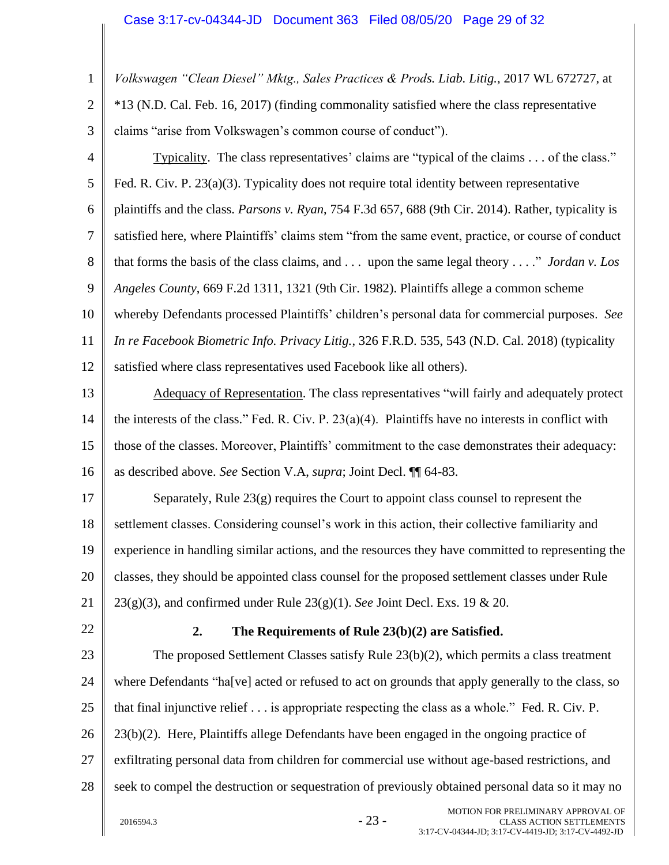1 2 3 4 5 6 7 8 9 10 11 12 13 14 15 16 17 18 19 20 21 22 23 24 25 26 27 28  $2016594.3$  -  $23$  -MOTION FOR PRELIMINARY APPROVAL OF CLASS ACTION SETTLEMENTS *Volkswagen "Clean Diesel" Mktg., Sales Practices & Prods. Liab. Litig.*, 2017 WL 672727, at \*13 (N.D. Cal. Feb. 16, 2017) (finding commonality satisfied where the class representative claims "arise from Volkswagen's common course of conduct"). Typicality. The class representatives' claims are "typical of the claims . . . of the class." Fed. R. Civ. P. 23(a)(3). Typicality does not require total identity between representative plaintiffs and the class. *Parsons v. Ryan*, 754 F.3d 657, 688 (9th Cir. 2014). Rather, typicality is satisfied here, where Plaintiffs' claims stem "from the same event, practice, or course of conduct that forms the basis of the class claims, and . . . upon the same legal theory . . . ." *Jordan v. Los Angeles County*, 669 F.2d 1311, 1321 (9th Cir. 1982). Plaintiffs allege a common scheme whereby Defendants processed Plaintiffs' children's personal data for commercial purposes. *See In re Facebook Biometric Info. Privacy Litig.*, 326 F.R.D. 535, 543 (N.D. Cal. 2018) (typicality satisfied where class representatives used Facebook like all others). Adequacy of Representation. The class representatives "will fairly and adequately protect the interests of the class." Fed. R. Civ. P.  $23(a)(4)$ . Plaintiffs have no interests in conflict with those of the classes. Moreover, Plaintiffs' commitment to the case demonstrates their adequacy: as described above. *See* Section [V.A,](#page-17-0) *supra*; Joint Decl. ¶¶ 64-83. Separately, Rule  $23(g)$  requires the Court to appoint class counsel to represent the settlement classes. Considering counsel's work in this action, their collective familiarity and experience in handling similar actions, and the resources they have committed to representing the classes, they should be appointed class counsel for the proposed settlement classes under Rule 23(g)(3), and confirmed under Rule 23(g)(1). *See* Joint Decl. Exs. 19 & 20. **2. The Requirements of Rule 23(b)(2) are Satisfied.** The proposed Settlement Classes satisfy Rule 23(b)(2), which permits a class treatment where Defendants "ha[ve] acted or refused to act on grounds that apply generally to the class, so that final injunctive relief . . . is appropriate respecting the class as a whole." Fed. R. Civ. P. 23(b)(2). Here, Plaintiffs allege Defendants have been engaged in the ongoing practice of exfiltrating personal data from children for commercial use without age-based restrictions, and seek to compel the destruction or sequestration of previously obtained personal data so it may no

<span id="page-28-0"></span>3:17-CV-04344-JD; 3:17-CV-4419-JD; 3:17-CV-4492-JD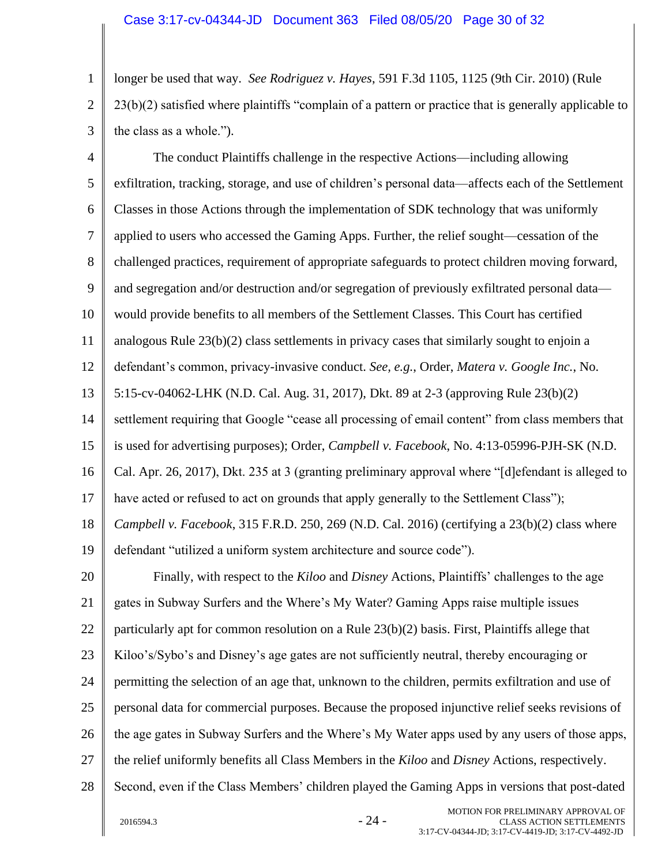1 2 3 longer be used that way. *See Rodriguez v. Hayes*, 591 F.3d 1105, 1125 (9th Cir. 2010) (Rule 23(b)(2) satisfied where plaintiffs "complain of a pattern or practice that is generally applicable to the class as a whole.").

4 5 6 7 8 9 10 11 12 13 14 15 16 17 18 19 20 21 22 23 24 25 26 27 28 The conduct Plaintiffs challenge in the respective Actions—including allowing exfiltration, tracking, storage, and use of children's personal data—affects each of the Settlement Classes in those Actions through the implementation of SDK technology that was uniformly applied to users who accessed the Gaming Apps. Further, the relief sought—cessation of the challenged practices, requirement of appropriate safeguards to protect children moving forward, and segregation and/or destruction and/or segregation of previously exfiltrated personal data would provide benefits to all members of the Settlement Classes. This Court has certified analogous Rule 23(b)(2) class settlements in privacy cases that similarly sought to enjoin a defendant's common, privacy-invasive conduct. *See, e.g.*, Order, *Matera v. Google Inc.*, No. 5:15-cv-04062-LHK (N.D. Cal. Aug. 31, 2017), Dkt. 89 at 2-3 (approving Rule 23(b)(2) settlement requiring that Google "cease all processing of email content" from class members that is used for advertising purposes); Order, *Campbell v. Facebook*, No. 4:13-05996-PJH-SK (N.D. Cal. Apr. 26, 2017), Dkt. 235 at 3 (granting preliminary approval where "[d]efendant is alleged to have acted or refused to act on grounds that apply generally to the Settlement Class"); *Campbell v. Facebook*, 315 F.R.D. 250, 269 (N.D. Cal. 2016) (certifying a 23(b)(2) class where defendant "utilized a uniform system architecture and source code"). Finally, with respect to the *Kiloo* and *Disney* Actions, Plaintiffs' challenges to the age gates in Subway Surfers and the Where's My Water? Gaming Apps raise multiple issues particularly apt for common resolution on a Rule 23(b)(2) basis. First, Plaintiffs allege that Kiloo's/Sybo's and Disney's age gates are not sufficiently neutral, thereby encouraging or permitting the selection of an age that, unknown to the children, permits exfiltration and use of personal data for commercial purposes. Because the proposed injunctive relief seeks revisions of the age gates in Subway Surfers and the Where's My Water apps used by any users of those apps, the relief uniformly benefits all Class Members in the *Kiloo* and *Disney* Actions, respectively. Second, even if the Class Members' children played the Gaming Apps in versions that post-dated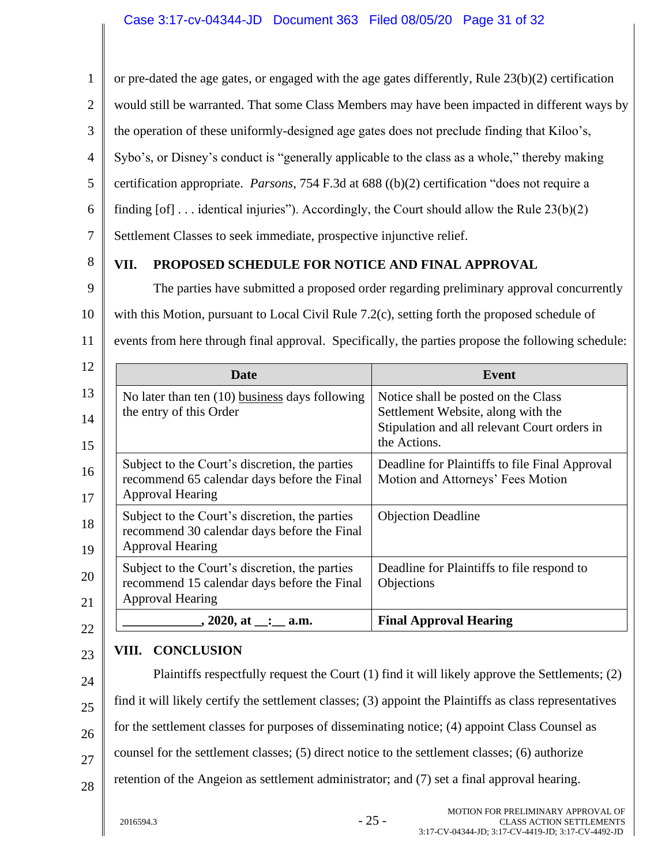<span id="page-30-0"></span>1 2 3 4 5 6 7 8 9 10 11 12 13 14 or pre-dated the age gates, or engaged with the age gates differently, Rule 23(b)(2) certification would still be warranted. That some Class Members may have been impacted in different ways by the operation of these uniformly-designed age gates does not preclude finding that Kiloo's, Sybo's, or Disney's conduct is "generally applicable to the class as a whole," thereby making certification appropriate. *Parsons*, 754 F.3d at 688 ((b)(2) certification "does not require a finding  $[of]$ ... identical injuries"). Accordingly, the Court should allow the Rule 23(b)(2) Settlement Classes to seek immediate, prospective injunctive relief. **VII. PROPOSED SCHEDULE FOR NOTICE AND FINAL APPROVAL** The parties have submitted a proposed order regarding preliminary approval concurrently with this Motion, pursuant to Local Civil Rule 7.2(c), setting forth the proposed schedule of events from here through final approval. Specifically, the parties propose the following schedule: **Date Event** No later than ten (10) business days following the entry of this Order Notice shall be posted on the Class Settlement Website, along with the Stipulation and all relevant Court orders in

| 18<br>19 | recommend 30 calendar days before the Final<br><b>Approval Hearing</b>                                                   |                                                          |
|----------|--------------------------------------------------------------------------------------------------------------------------|----------------------------------------------------------|
| 20<br>21 | Subject to the Court's discretion, the parties<br>recommend 15 calendar days before the Final<br><b>Approval Hearing</b> | Deadline for Plaintiffs to file respond to<br>Objections |
|          | , 2020, at __:_ a.m.                                                                                                     | <b>Final Approval Hearing</b>                            |

#### <span id="page-30-1"></span>23 **VIII. CONCLUSION**

24 25 26 27 28 Plaintiffs respectfully request the Court (1) find it will likely approve the Settlements; (2) find it will likely certify the settlement classes; (3) appoint the Plaintiffs as class representatives for the settlement classes for purposes of disseminating notice; (4) appoint Class Counsel as counsel for the settlement classes; (5) direct notice to the settlement classes; (6) authorize retention of the Angeion as settlement administrator; and (7) set a final approval hearing.